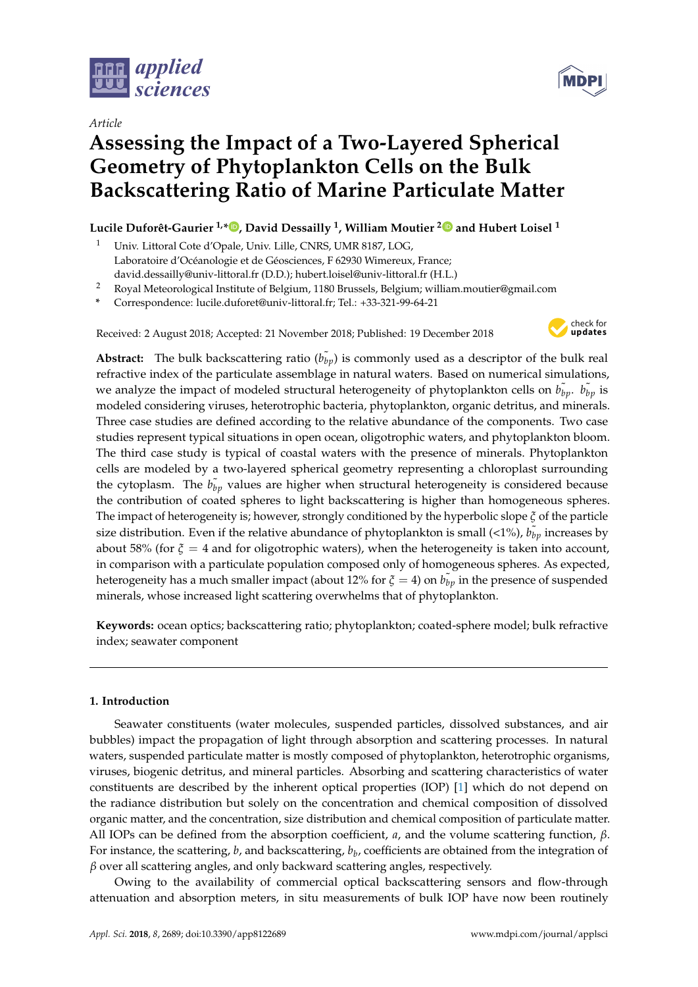

*Article*

# **Assessing the Impact of a Two-Layered Spherical Geometry of Phytoplankton Cells on the Bulk Backscattering Ratio of Marine Particulate Matter**

## **Lucile Duforêt-Gaurier 1,[\\*](https://orcid.org/0000-0003-3669-4369) , David Dessailly <sup>1</sup> , William Moutier [2](https://orcid.org/0000-0001-9974-7793) and Hubert Loisel <sup>1</sup>**

- <sup>1</sup> Univ. Littoral Cote d'Opale, Univ. Lille, CNRS, UMR 8187, LOG, Laboratoire d'Océanologie et de Géosciences, F 62930 Wimereux, France; david.dessailly@univ-littoral.fr (D.D.); hubert.loisel@univ-littoral.fr (H.L.)
- <sup>2</sup> Royal Meteorological Institute of Belgium, 1180 Brussels, Belgium; william.moutier@gmail.com
- **\*** Correspondence: lucile.duforet@univ-littoral.fr; Tel.: +33-321-99-64-21

Received: 2 August 2018; Accepted: 21 November 2018; Published: 19 December 2018



**Abstract:** The bulk backscattering ratio ( $b_{bp}$ ) is commonly used as a descriptor of the bulk real refractive index of the particulate assemblage in natural waters. Based on numerical simulations, we analyze the impact of modeled structural heterogeneity of phytoplankton cells on  $\tilde{b_{bp}}$ .  $\tilde{b_{bp}}$  is modeled considering viruses, heterotrophic bacteria, phytoplankton, organic detritus, and minerals. Three case studies are defined according to the relative abundance of the components. Two case studies represent typical situations in open ocean, oligotrophic waters, and phytoplankton bloom. The third case study is typical of coastal waters with the presence of minerals. Phytoplankton cells are modeled by a two-layered spherical geometry representing a chloroplast surrounding the cytoplasm. The  $b_{bn}$  values are higher when structural heterogeneity is considered because the contribution of coated spheres to light backscattering is higher than homogeneous spheres. The impact of heterogeneity is; however, strongly conditioned by the hyperbolic slope *ξ* of the particle size distribution. Even if the relative abundance of phytoplankton is small  $\langle 1\% \rangle$ ,  $b_{bn}$  increases by about 58% (for  $\zeta = 4$  and for oligotrophic waters), when the heterogeneity is taken into account, in comparison with a particulate population composed only of homogeneous spheres. As expected, heterogeneity has a much smaller impact (about 12% for  $\xi = 4$ ) on  $b_{bp}$  in the presence of suspended minerals, whose increased light scattering overwhelms that of phytoplankton.

**Keywords:** ocean optics; backscattering ratio; phytoplankton; coated-sphere model; bulk refractive index; seawater component

## **1. Introduction**

Seawater constituents (water molecules, suspended particles, dissolved substances, and air bubbles) impact the propagation of light through absorption and scattering processes. In natural waters, suspended particulate matter is mostly composed of phytoplankton, heterotrophic organisms, viruses, biogenic detritus, and mineral particles. Absorbing and scattering characteristics of water constituents are described by the inherent optical properties (IOP) [\[1\]](#page-17-0) which do not depend on the radiance distribution but solely on the concentration and chemical composition of dissolved organic matter, and the concentration, size distribution and chemical composition of particulate matter. All IOPs can be defined from the absorption coefficient, *a*, and the volume scattering function, *β*. For instance, the scattering, *b*, and backscattering, *b<sup>b</sup>* , coefficients are obtained from the integration of *β* over all scattering angles, and only backward scattering angles, respectively.

Owing to the availability of commercial optical backscattering sensors and flow-through attenuation and absorption meters, in situ measurements of bulk IOP have now been routinely

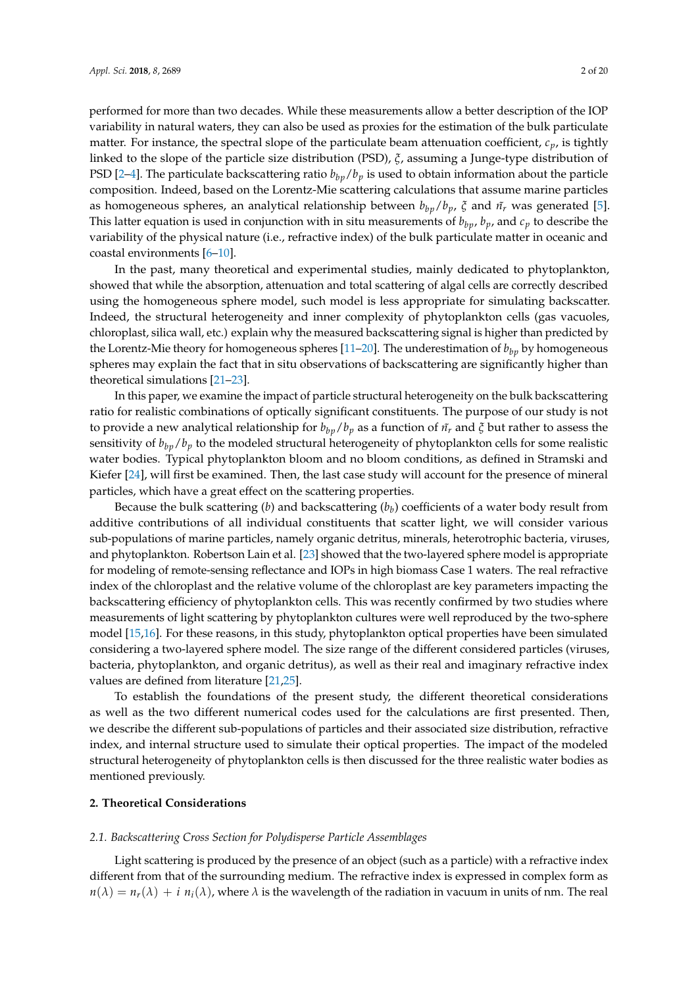performed for more than two decades. While these measurements allow a better description of the IOP variability in natural waters, they can also be used as proxies for the estimation of the bulk particulate matter. For instance, the spectral slope of the particulate beam attenuation coefficient, *cp*, is tightly linked to the slope of the particle size distribution (PSD), *ξ*, assuming a Junge-type distribution of PSD [\[2](#page-17-1)[–4\]](#page-17-2). The particulate backscattering ratio  $b_{bp}/b_p$  is used to obtain information about the particle composition. Indeed, based on the Lorentz-Mie scattering calculations that assume marine particles as homogeneous spheres, an analytical relationship between  $b_{bp}/b_p$ ,  $\zeta$  and  $\tilde{n_r}$  was generated [\[5\]](#page-17-3). This latter equation is used in conjunction with in situ measurements of  $b_{bp}$ ,  $b_p$ , and  $c_p$  to describe the variability of the physical nature (i.e., refractive index) of the bulk particulate matter in oceanic and coastal environments [\[6–](#page-17-4)[10\]](#page-17-5).

In the past, many theoretical and experimental studies, mainly dedicated to phytoplankton, showed that while the absorption, attenuation and total scattering of algal cells are correctly described using the homogeneous sphere model, such model is less appropriate for simulating backscatter. Indeed, the structural heterogeneity and inner complexity of phytoplankton cells (gas vacuoles, chloroplast, silica wall, etc.) explain why the measured backscattering signal is higher than predicted by the Lorentz-Mie theory for homogeneous spheres [\[11](#page-18-0)[–20\]](#page-18-1). The underestimation of *bbp* by homogeneous spheres may explain the fact that in situ observations of backscattering are significantly higher than theoretical simulations [\[21](#page-18-2)[–23\]](#page-18-3).

In this paper, we examine the impact of particle structural heterogeneity on the bulk backscattering ratio for realistic combinations of optically significant constituents. The purpose of our study is not to provide a new analytical relationship for  $b_{bp}/b_p$  as a function of  $\tilde{n}_r$  and  $\zeta$  but rather to assess the sensitivity of  $b_{bp}/b_p$  to the modeled structural heterogeneity of phytoplankton cells for some realistic water bodies. Typical phytoplankton bloom and no bloom conditions, as defined in Stramski and Kiefer [\[24\]](#page-18-4), will first be examined. Then, the last case study will account for the presence of mineral particles, which have a great effect on the scattering properties.

Because the bulk scattering (*b*) and backscattering (*b<sup>b</sup>* ) coefficients of a water body result from additive contributions of all individual constituents that scatter light, we will consider various sub-populations of marine particles, namely organic detritus, minerals, heterotrophic bacteria, viruses, and phytoplankton. Robertson Lain et al. [\[23\]](#page-18-3) showed that the two-layered sphere model is appropriate for modeling of remote-sensing reflectance and IOPs in high biomass Case 1 waters. The real refractive index of the chloroplast and the relative volume of the chloroplast are key parameters impacting the backscattering efficiency of phytoplankton cells. This was recently confirmed by two studies where measurements of light scattering by phytoplankton cultures were well reproduced by the two-sphere model [\[15,](#page-18-5)[16\]](#page-18-6). For these reasons, in this study, phytoplankton optical properties have been simulated considering a two-layered sphere model. The size range of the different considered particles (viruses, bacteria, phytoplankton, and organic detritus), as well as their real and imaginary refractive index values are defined from literature [\[21](#page-18-2)[,25\]](#page-18-7).

To establish the foundations of the present study, the different theoretical considerations as well as the two different numerical codes used for the calculations are first presented. Then, we describe the different sub-populations of particles and their associated size distribution, refractive index, and internal structure used to simulate their optical properties. The impact of the modeled structural heterogeneity of phytoplankton cells is then discussed for the three realistic water bodies as mentioned previously.

## <span id="page-1-0"></span>**2. Theoretical Considerations**

## *2.1. Backscattering Cross Section for Polydisperse Particle Assemblages*

Light scattering is produced by the presence of an object (such as a particle) with a refractive index different from that of the surrounding medium. The refractive index is expressed in complex form as  $n(\lambda) = n_r(\lambda) + i n_i(\lambda)$ , where  $\lambda$  is the wavelength of the radiation in vacuum in units of nm. The real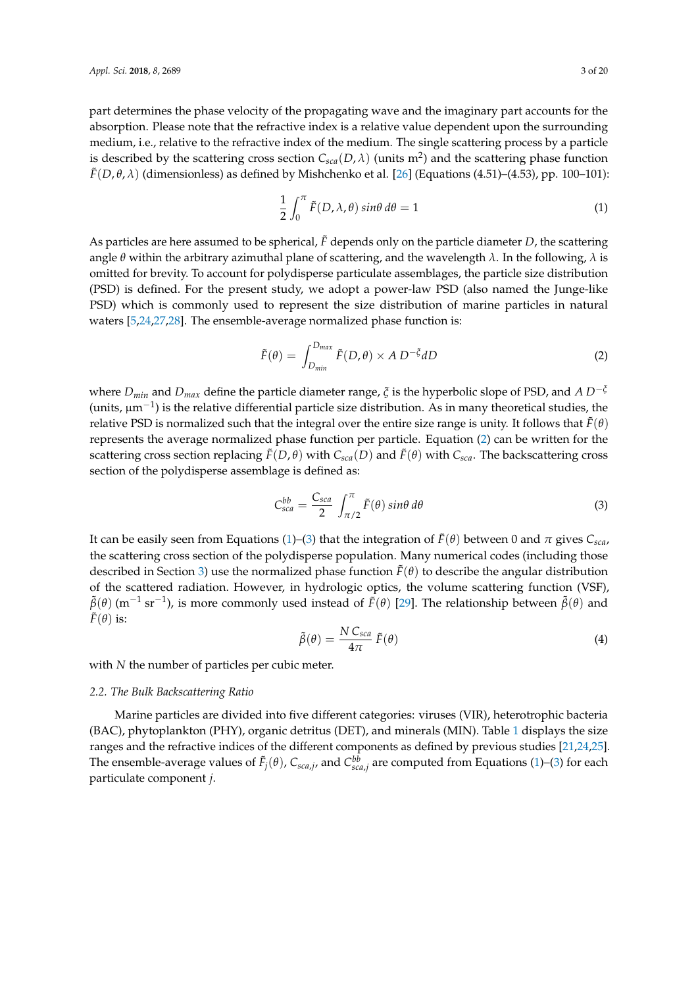part determines the phase velocity of the propagating wave and the imaginary part accounts for the absorption. Please note that the refractive index is a relative value dependent upon the surrounding medium, i.e., relative to the refractive index of the medium. The single scattering process by a particle is described by the scattering cross section  $C_{sca}(D, \lambda)$  (units m<sup>2</sup>) and the scattering phase function  $\tilde{F}(D,\theta,\lambda)$  (dimensionless) as defined by Mishchenko et al. [\[26\]](#page-18-8) (Equations (4.51)–(4.53), pp. 100–101):

<span id="page-2-1"></span>
$$
\frac{1}{2} \int_0^{\pi} \tilde{F}(D, \lambda, \theta) \sin \theta \, d\theta = 1 \tag{1}
$$

As particles are here assumed to be spherical, *F*˜ depends only on the particle diameter *D*, the scattering angle *θ* within the arbitrary azimuthal plane of scattering, and the wavelength *λ*. In the following, *λ* is omitted for brevity. To account for polydisperse particulate assemblages, the particle size distribution (PSD) is defined. For the present study, we adopt a power-law PSD (also named the Junge-like PSD) which is commonly used to represent the size distribution of marine particles in natural waters [\[5](#page-17-3)[,24](#page-18-4)[,27](#page-18-9)[,28\]](#page-18-10). The ensemble-average normalized phase function is:

<span id="page-2-0"></span>
$$
\tilde{F}(\theta) = \int_{D_{min}}^{D_{max}} \tilde{F}(D,\theta) \times A D^{-\xi} dD \tag{2}
$$

where *Dmin* and *Dmax* define the particle diameter range, *ξ* is the hyperbolic slope of PSD, and *A D*−*<sup>ξ</sup>* (units,  $\mu$ m<sup>-1</sup>) is the relative differential particle size distribution. As in many theoretical studies, the relative PSD is normalized such that the integral over the entire size range is unity. It follows that  $\tilde{F}(\theta)$ represents the average normalized phase function per particle. Equation [\(2\)](#page-2-0) can be written for the scattering cross section replacing  $\tilde{F}(D,\theta)$  with  $C_{sca}(D)$  and  $\tilde{F}(\theta)$  with  $C_{sca}$ . The backscattering cross section of the polydisperse assemblage is defined as:

<span id="page-2-2"></span>
$$
C_{sca}^{bb} = \frac{C_{sca}}{2} \int_{\pi/2}^{\pi} \tilde{F}(\theta) \sin\theta \, d\theta \tag{3}
$$

It can be easily seen from Equations [\(1\)](#page-2-1)–[\(3\)](#page-2-2) that the integration of *F*˜(*θ*) between 0 and *π* gives *Csca*, the scattering cross section of the polydisperse population. Many numerical codes (including those described in Section [3\)](#page-4-0) use the normalized phase function  $\tilde{F}(\theta)$  to describe the angular distribution of the scattered radiation. However, in hydrologic optics, the volume scattering function (VSF),  $\tilde{\beta}(\theta)$  (m<sup>-1</sup> sr<sup>-1</sup>), is more commonly used instead of  $\tilde{F}(\theta)$  [\[29\]](#page-18-11). The relationship between  $\tilde{\beta}(\theta)$  and  $\tilde{F}(\theta)$  is:

$$
\tilde{\beta}(\theta) = \frac{N C_{sca}}{4\pi} \tilde{F}(\theta)
$$
\n(4)

with *N* the number of particles per cubic meter.

#### *2.2. The Bulk Backscattering Ratio*

Marine particles are divided into five different categories: viruses (VIR), heterotrophic bacteria (BAC), phytoplankton (PHY), organic detritus (DET), and minerals (MIN). Table [1](#page-3-0) displays the size ranges and the refractive indices of the different components as defined by previous studies [\[21](#page-18-2)[,24](#page-18-4)[,25\]](#page-18-7). The ensemble-average values of  $\tilde{F}_j(\theta)$ ,  $C_{sea,j}$ , and  $C^{bb}_{sea,j}$  are computed from Equations [\(1\)](#page-2-1)–[\(3\)](#page-2-2) for each particulate component *j*.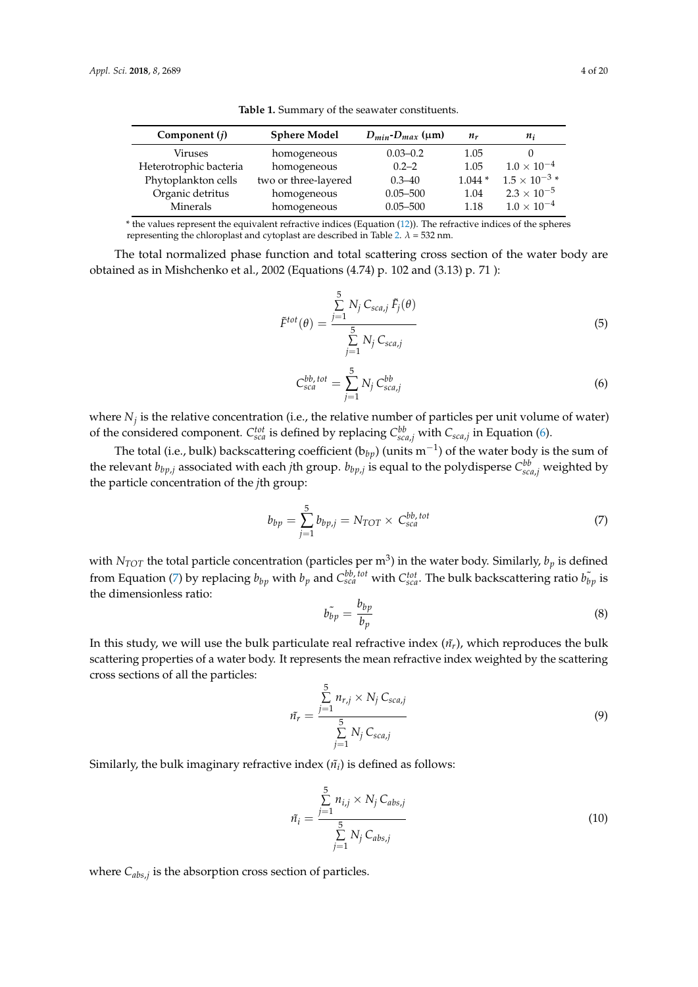<span id="page-3-0"></span>

| Component $(i)$        | <b>Sphere Model</b>  | $D_{min}$ - $D_{max}$ (µm) | n <sub>r</sub> | n;                     |
|------------------------|----------------------|----------------------------|----------------|------------------------|
| Viruses                | homogeneous          | $0.03 - 0.2$               | 1.05           |                        |
| Heterotrophic bacteria | homogeneous          | $0.2 - 2$                  | 1.05           | $1.0 \times 10^{-4}$   |
| Phytoplankton cells    | two or three-layered | $0.3 - 40$                 | $1.044*$       | $1.5 \times 10^{-3}$ * |
| Organic detritus       | homogeneous          | $0.05 - 500$               | 1.04           | $2.3 \times 10^{-5}$   |
| Minerals               | homogeneous          | $0.05 - 500$               | 1.18           | $1.0 \times 10^{-4}$   |

**Table 1.** Summary of the seawater constituents.

\* the values represent the equivalent refractive indices (Equation [\(12\)](#page-6-0)). The refractive indices of the spheres representing the chloroplast and cytoplast are described in Table [2.](#page-4-1)  $\lambda$  = 532 nm.

The total normalized phase function and total scattering cross section of the water body are obtained as in Mishchenko et al., 2002 (Equations (4.74) p. 102 and (3.13) p. 71 ):

<span id="page-3-3"></span>
$$
\tilde{F}^{tot}(\theta) = \frac{\sum_{j=1}^{5} N_j C_{sca,j} \tilde{F}_j(\theta)}{\sum_{j=1}^{5} N_j C_{sca,j}}
$$
\n
$$
(5)
$$

<span id="page-3-1"></span>
$$
C_{sca}^{bb,tot} = \sum_{j=1}^{5} N_j C_{sca,j}^{bb} \tag{6}
$$

where  $N_j$  is the relative concentration (i.e., the relative number of particles per unit volume of water) of the considered component. *C*<sup>tot</sup></sup><sub>sca</sub> is defined by replacing  $C_{sca,j}^{bb}$  with  $C_{sca,j}$  in Equation [\(6\)](#page-3-1).

The total (i.e., bulk) backscattering coefficient ( $\mathsf{b}_{bp}$ ) (units  $\mathsf{m}^{-1}$ ) of the water body is the sum of the relevant  $b_{bp,j}$  associated with each *j*th group.  $b_{bp,j}$  is equal to the polydisperse  $C_{sca,j}^{bb}$  weighted by the particle concentration of the *j*th group:

<span id="page-3-2"></span>
$$
b_{bp} = \sum_{j=1}^{5} b_{bp,j} = N_{TOT} \times C_{sca}^{bb, tot}
$$
 (7)

with  $N_{TOT}$  the total particle concentration (particles per  $m^3$ ) in the water body. Similarly,  $b_p$  is defined from Equation [\(7\)](#page-3-2) by replacing  $b_{bp}$  with  $b_p$  and  $C_{sca}^{bb, tot}$  with  $C_{sca}^{tot}$ . The bulk backscattering ratio  $b_{bp}^*$  is the dimensionless ratio:

$$
\tilde{b_{bp}} = \frac{b_{bp}}{b_p} \tag{8}
$$

In this study, we will use the bulk particulate real refractive index  $(\tilde{n}_r)$ , which reproduces the bulk scattering properties of a water body. It represents the mean refractive index weighted by the scattering cross sections of all the particles:  $\overline{5}$ 

<span id="page-3-4"></span>
$$
\tilde{n_r} = \frac{\sum\limits_{j=1}^{5} n_{r,j} \times N_j C_{sca,j}}{\sum\limits_{j=1}^{5} N_j C_{sca,j}}
$$
\n(9)

Similarly, the bulk imaginary refractive index  $(\tilde{n_i})$  is defined as follows:

<span id="page-3-5"></span>
$$
\tilde{n}_i = \frac{\sum_{j=1}^{5} n_{i,j} \times N_j C_{abs,j}}{\sum_{j=1}^{5} N_j C_{abs,j}}
$$
\n(10)

where *Cabs*,*<sup>j</sup>* is the absorption cross section of particles.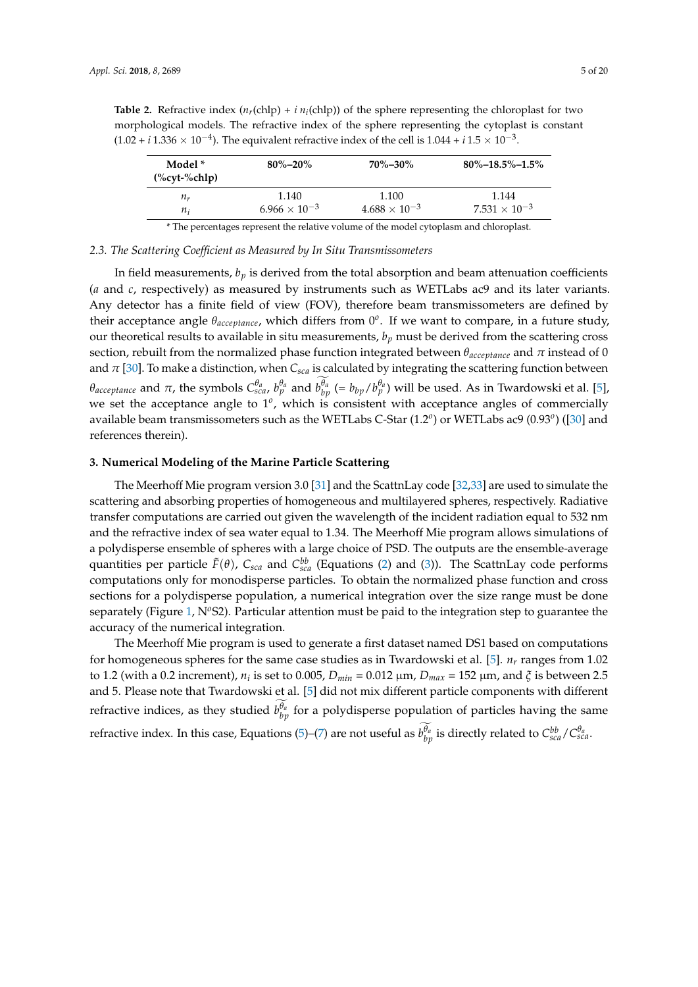| Model *<br>$(\%$ cyt-%chlp) | $80\% - 20\%$          | $70\% - 30\%$          | $80\% - 18.5\% - 1.5\%$ |
|-----------------------------|------------------------|------------------------|-------------------------|
| $n_r$                       | 1.140                  | 1.100                  | 1.144                   |
| n;                          | $6.966 \times 10^{-3}$ | $4.688 \times 10^{-3}$ | $7.531 \times 10^{-3}$  |

<span id="page-4-1"></span>**Table 2.** Refractive index  $(n_r(\text{chlp}) + i n_i(\text{chlp}))$  of the sphere representing the chloroplast for two morphological models. The refractive index of the sphere representing the cytoplast is constant  $(1.02 + i 1.336 \times 10^{-4})$ . The equivalent refractive index of the cell is  $1.044 + i 1.5 \times 10^{-3}$ .

\* The percentages represent the relative volume of the model cytoplasm and chloroplast.

## *2.3. The Scattering Coefficient as Measured by In Situ Transmissometers*

In field measurements,  $b_p$  is derived from the total absorption and beam attenuation coefficients (*a* and *c*, respectively) as measured by instruments such as WETLabs ac9 and its later variants. Any detector has a finite field of view (FOV), therefore beam transmissometers are defined by their acceptance angle  $θ_{\text{acceptance}}$ , which differs from 0<sup>o</sup>. If we want to compare, in a future study, our theoretical results to available in situ measurements, *b<sup>p</sup>* must be derived from the scattering cross section, rebuilt from the normalized phase function integrated between  $\theta_{\text{acceptance}}$  and  $\pi$  instead of 0 and *π* [\[30\]](#page-18-12). To make a distinction, when *Csca* is calculated by integrating the scattering function between  $\theta_{acceptance}$  and  $\pi$ , the symbols  $C_{sca}^{\theta_a}$ ,  $b_p^{\theta_a}$  and  $b_{bp}^{\theta_a}$  (=  $b_{bp}/b_p^{\theta_a}$ ) will be used. As in Twardowski et al. [\[5\]](#page-17-3), we set the acceptance angle to 1<sup>o</sup>, which is consistent with acceptance angles of commercially available beam transmissometers such as the WETLabs C-Star (1.2*<sup>o</sup>* ) or WETLabs ac9 (0.93*<sup>o</sup>* ) ([\[30\]](#page-18-12) and references therein).

## <span id="page-4-0"></span>**3. Numerical Modeling of the Marine Particle Scattering**

The Meerhoff Mie program version 3.0 [\[31\]](#page-18-13) and the ScattnLay code [\[32,](#page-18-14)[33\]](#page-18-15) are used to simulate the scattering and absorbing properties of homogeneous and multilayered spheres, respectively. Radiative transfer computations are carried out given the wavelength of the incident radiation equal to 532 nm and the refractive index of sea water equal to 1.34. The Meerhoff Mie program allows simulations of a polydisperse ensemble of spheres with a large choice of PSD. The outputs are the ensemble-average quantities per particle  $\tilde{F}(\theta)$ ,  $C_{sca}$  and  $C_{sca}^{bb}$  (Equations [\(2\)](#page-2-0) and [\(3\)](#page-2-2)). The ScattnLay code performs computations only for monodisperse particles. To obtain the normalized phase function and cross sections for a polydisperse population, a numerical integration over the size range must be done separately (Figure [1,](#page-5-0) N<sup>o</sup>S2). Particular attention must be paid to the integration step to guarantee the accuracy of the numerical integration.

The Meerhoff Mie program is used to generate a first dataset named DS1 based on computations for homogeneous spheres for the same case studies as in Twardowski et al. [\[5\]](#page-17-3). *n<sup>r</sup>* ranges from 1.02 to 1.2 (with a 0.2 increment), *n<sup>i</sup>* is set to 0.005, *Dmin* = 0.012 µm, *Dmax* = 152 µm, and *ξ* is between 2.5 and 5. Please note that Twardowski et al. [\[5\]](#page-17-3) did not mix different particle components with different refractive indices, as they studied  $b_{bp}^{\theta_a}$  for a polydisperse population of particles having the same refractive index. In this case, Equations [\(5\)](#page-3-3)–[\(7\)](#page-3-2) are not useful as  $b_{bp}^{\theta_a}$  is directly related to  $C_{sca}^{bb}/C_{sca}^{\theta_a}$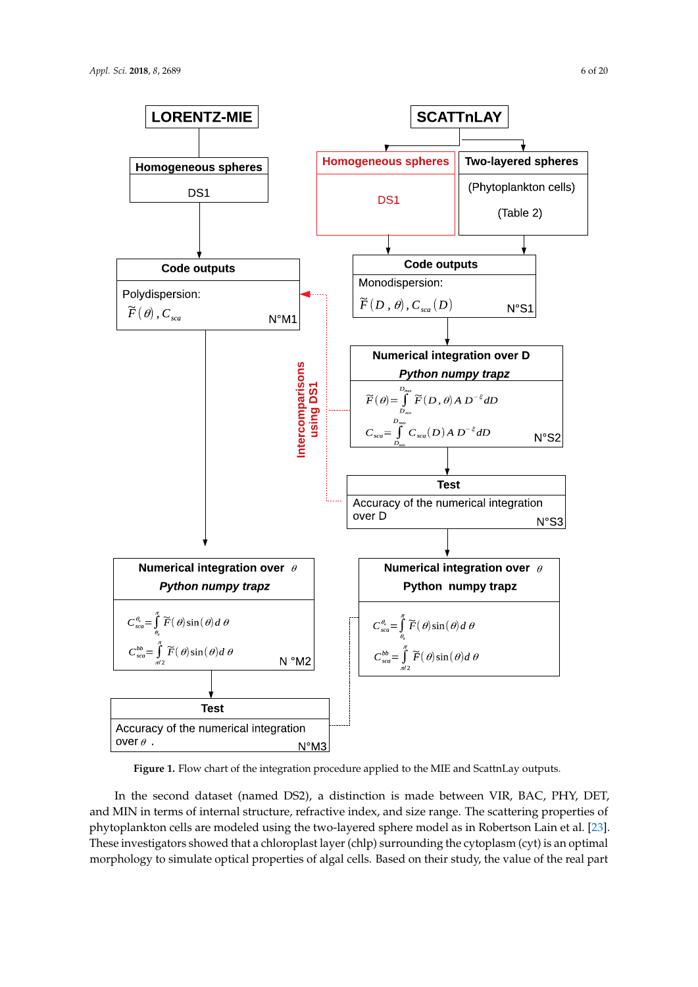<span id="page-5-0"></span>

**Figure 1.** Flow chart of the integration procedure applied to the MIE and ScattnLay outputs.

In the second dataset (named DS2), a distinction is made between VIR, BAC, PHY, DET, and MIN in terms of internal structure, refractive index, and size range. The scattering properties of phytoplankton cells are modeled using the two-layered sphere model as in Robertson Lain et al. [\[23\]](#page-18-3). These investigators showed that a chloroplast layer (chlp) surrounding the cytoplasm (cyt) is an optimal morphology to simulate optical properties of algal cells. Based on their study, the value of the real part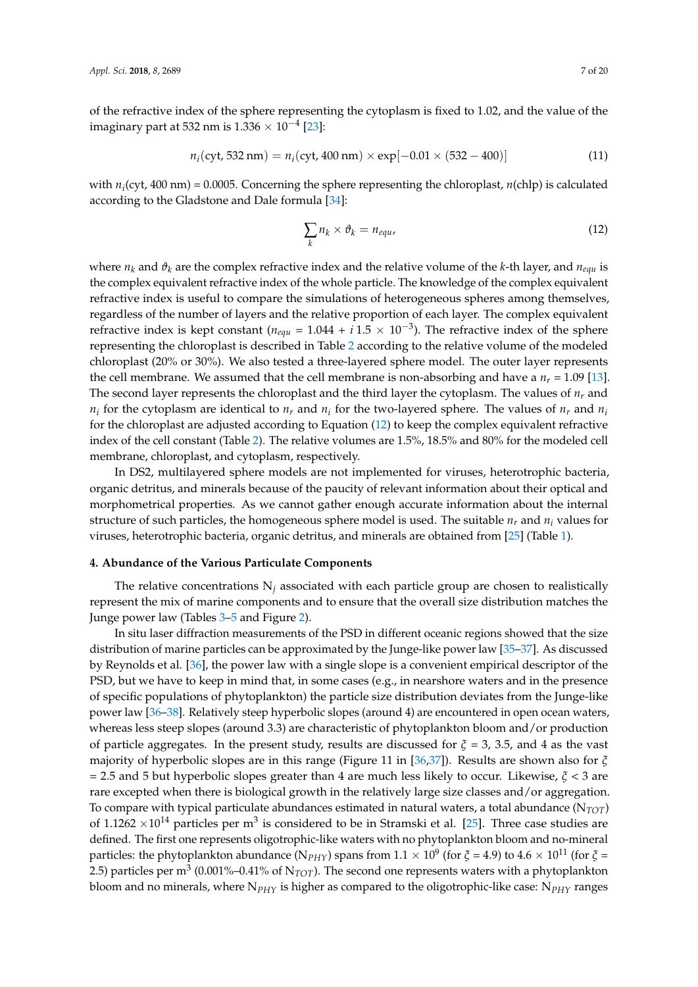of the refractive index of the sphere representing the cytoplasm is fixed to 1.02, and the value of the imaginary part at 532 nm is 1.336  $\times$  10<sup>-4</sup> [\[23\]](#page-18-3):

$$
n_i(\text{cyt, 532 nm}) = n_i(\text{cyt, 400 nm}) \times \exp[-0.01 \times (532 - 400)] \tag{11}
$$

with *n<sup>i</sup>* (cyt, 400 nm) = 0.0005. Concerning the sphere representing the chloroplast, *n*(chlp) is calculated according to the Gladstone and Dale formula [\[34\]](#page-19-0):

<span id="page-6-0"></span>
$$
\sum_{k} n_{k} \times \vartheta_{k} = n_{equ}, \qquad (12)
$$

where  $n_k$  and  $\vartheta_k$  are the complex refractive index and the relative volume of the *k*-th layer, and  $n_{equ}$  is the complex equivalent refractive index of the whole particle. The knowledge of the complex equivalent refractive index is useful to compare the simulations of heterogeneous spheres among themselves, regardless of the number of layers and the relative proportion of each layer. The complex equivalent refractive index is kept constant ( $n_{equ} = 1.044 + i 1.5 \times 10^{-3}$ ). The refractive index of the sphere representing the chloroplast is described in Table [2](#page-4-1) according to the relative volume of the modeled chloroplast (20% or 30%). We also tested a three-layered sphere model. The outer layer represents the cell membrane. We assumed that the cell membrane is non-absorbing and have a  $n_r = 1.09$  [\[13\]](#page-18-16). The second layer represents the chloroplast and the third layer the cytoplasm. The values of  $n<sub>r</sub>$  and  $n_i$  for the cytoplasm are identical to  $n_r$  and  $n_i$  for the two-layered sphere. The values of  $n_r$  and  $n_i$ for the chloroplast are adjusted according to Equation [\(12\)](#page-6-0) to keep the complex equivalent refractive index of the cell constant (Table [2\)](#page-4-1). The relative volumes are 1.5%, 18.5% and 80% for the modeled cell membrane, chloroplast, and cytoplasm, respectively.

In DS2, multilayered sphere models are not implemented for viruses, heterotrophic bacteria, organic detritus, and minerals because of the paucity of relevant information about their optical and morphometrical properties. As we cannot gather enough accurate information about the internal structure of such particles, the homogeneous sphere model is used. The suitable  $n_r$  and  $n_i$  values for viruses, heterotrophic bacteria, organic detritus, and minerals are obtained from [\[25\]](#page-18-7) (Table [1\)](#page-3-0).

## <span id="page-6-1"></span>**4. Abundance of the Various Particulate Components**

The relative concentrations  $N_i$  associated with each particle group are chosen to realistically represent the mix of marine components and to ensure that the overall size distribution matches the Junge power law (Tables [3](#page-7-0)[–5](#page-8-0) and Figure [2\)](#page-8-1).

In situ laser diffraction measurements of the PSD in different oceanic regions showed that the size distribution of marine particles can be approximated by the Junge-like power law [\[35](#page-19-1)[–37\]](#page-19-2). As discussed by Reynolds et al. [\[36\]](#page-19-3), the power law with a single slope is a convenient empirical descriptor of the PSD, but we have to keep in mind that, in some cases (e.g., in nearshore waters and in the presence of specific populations of phytoplankton) the particle size distribution deviates from the Junge-like power law [\[36](#page-19-3)[–38\]](#page-19-4). Relatively steep hyperbolic slopes (around 4) are encountered in open ocean waters, whereas less steep slopes (around 3.3) are characteristic of phytoplankton bloom and/or production of particle aggregates. In the present study, results are discussed for  $\zeta = 3$ , 3.5, and 4 as the vast majority of hyperbolic slopes are in this range (Figure 11 in [\[36,](#page-19-3)[37\]](#page-19-2)). Results are shown also for *ξ* = 2.5 and 5 but hyperbolic slopes greater than 4 are much less likely to occur. Likewise, *ξ* < 3 are rare excepted when there is biological growth in the relatively large size classes and/or aggregation. To compare with typical particulate abundances estimated in natural waters, a total abundance (N*TOT*) of 1.1262  $\times$ 10<sup>14</sup> particles per m<sup>3</sup> is considered to be in Stramski et al. [\[25\]](#page-18-7). Three case studies are defined. The first one represents oligotrophic-like waters with no phytoplankton bloom and no-mineral particles: the phytoplankton abundance (N<sub>PHY</sub>) spans from  $1.1\times10^9$  (for  $\xi$  = 4.9) to  $4.6\times10^{11}$  (for  $\xi$  = 2.5) particles per m<sup>3</sup> (0.001%–0.41% of N<sub>TOT</sub>). The second one represents waters with a phytoplankton bloom and no minerals, where N*PHY* is higher as compared to the oligotrophic-like case: N*PHY* ranges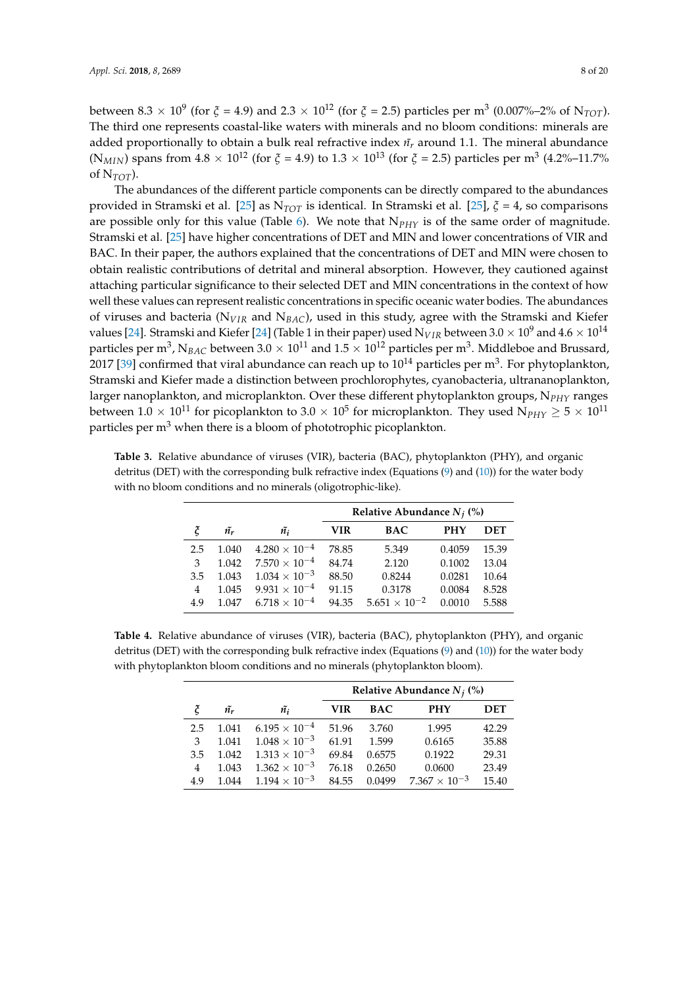The third one represents coastal-like waters with minerals and no bloom conditions: minerals are added proportionally to obtain a bulk real refractive index  $n<sub>r</sub>$  around 1.1. The mineral abundance (N<sub>MIN</sub>) spans from  $4.8 \times 10^{12}$  (for  $\xi = 4.9$ ) to  $1.3 \times 10^{13}$  (for  $\xi = 2.5$ ) particles per m<sup>3</sup> (4.2%–11.7%) of  $N_{TOT}$ ).

The abundances of the different particle components can be directly compared to the abundances provided in Stramski et al. [\[25\]](#page-18-7) as N*TOT* is identical. In Stramski et al. [\[25\]](#page-18-7), *ξ* = 4, so comparisons are possible only for this value (Table [6\)](#page-8-2). We note that N*PHY* is of the same order of magnitude. Stramski et al. [\[25\]](#page-18-7) have higher concentrations of DET and MIN and lower concentrations of VIR and BAC. In their paper, the authors explained that the concentrations of DET and MIN were chosen to obtain realistic contributions of detrital and mineral absorption. However, they cautioned against attaching particular significance to their selected DET and MIN concentrations in the context of how well these values can represent realistic concentrations in specific oceanic water bodies. The abundances of viruses and bacteria (N*V IR* and N*BAC*), used in this study, agree with the Stramski and Kiefer values [\[24\]](#page-18-4). Stramski and Kiefer [24] (Table 1 in their paper) used  $N_{VIR}$  between 3.0  $\times$  10<sup>9</sup> and 4.6  $\times$  10<sup>14</sup> particles per m<sup>3</sup>, N<sub>BAC</sub> between 3.0  $\times$  10<sup>11</sup> and 1.5  $\times$  10<sup>12</sup> particles per m<sup>3</sup>. Middleboe and Brussard, 2017 [\[39\]](#page-19-5) confirmed that viral abundance can reach up to  $10^{14}$  particles per m<sup>3</sup>. For phytoplankton, Stramski and Kiefer made a distinction between prochlorophytes, cyanobacteria, ultrananoplankton, larger nanoplankton, and microplankton. Over these different phytoplankton groups, N<sub>PHY</sub> ranges between  $1.0\times10^{11}$  for picoplankton to 3.0  $\times$   $10^5$  for microplankton. They used  $\mathrm{N}_{PHY}$   $\geq5\times10^{11}$ particles per  $m<sup>3</sup>$  when there is a bloom of phototrophic picoplankton.

<span id="page-7-0"></span>**Table 3.** Relative abundance of viruses (VIR), bacteria (BAC), phytoplankton (PHY), and organic detritus (DET) with the corresponding bulk refractive index (Equations [\(9\)](#page-3-4) and [\(10\)](#page-3-5)) for the water body with no bloom conditions and no minerals (oligotrophic-like).

|                |               |                        | Relative Abundance $N_i$ (%) |                        |            |       |
|----------------|---------------|------------------------|------------------------------|------------------------|------------|-------|
|                | $\tilde{n_r}$ | ñ,                     | <b>VIR</b>                   | <b>BAC</b>             | <b>PHY</b> | DET   |
| 2.5            | 1.040         | $4.280 \times 10^{-4}$ | 78.85                        | 5.349                  | 0.4059     | 15.39 |
| 3              | 1.042         | $7.570 \times 10^{-4}$ | 84.74                        | 2.120                  | 0.1002     | 13.04 |
| 3.5            | 1.043         | $1.034 \times 10^{-3}$ | 88.50                        | 0.8244                 | 0.0281     | 10.64 |
| $\overline{4}$ | 1.045         | $9.931 \times 10^{-4}$ | 91.15                        | 0.3178                 | 0.0084     | 8.528 |
| 4.9            | 1 047         | $6.718 \times 10^{-4}$ | 94.35                        | $5.651 \times 10^{-2}$ | 0.0010     | 5.588 |

**Table 4.** Relative abundance of viruses (VIR), bacteria (BAC), phytoplankton (PHY), and organic detritus (DET) with the corresponding bulk refractive index (Equations  $(9)$  and  $(10)$ ) for the water body with phytoplankton bloom conditions and no minerals (phytoplankton bloom).

|     |       |                        | Relative Abundance $N_i$ (%) |            |                        |            |
|-----|-------|------------------------|------------------------------|------------|------------------------|------------|
|     | ñ,    | ñ,                     | VIR                          | <b>BAC</b> | <b>PHY</b>             | <b>DET</b> |
| 2.5 | 1.041 | $6.195 \times 10^{-4}$ | 51.96                        | 3.760      | 1.995                  | 42.29      |
| 3   | 1.041 | $1.048 \times 10^{-3}$ | 61.91                        | 1.599      | 0.6165                 | 35.88      |
| 3.5 | 1.042 | $1.313 \times 10^{-3}$ | 69.84                        | 0.6575     | 0.1922                 | 29.31      |
| 4   | 1.043 | $1.362 \times 10^{-3}$ | 76.18                        | 0.2650     | 0.0600                 | 23.49      |
| 4.9 | 1.044 | $1.194 \times 10^{-3}$ | 84.55                        | 0.0499     | $7.367 \times 10^{-3}$ | 15.40      |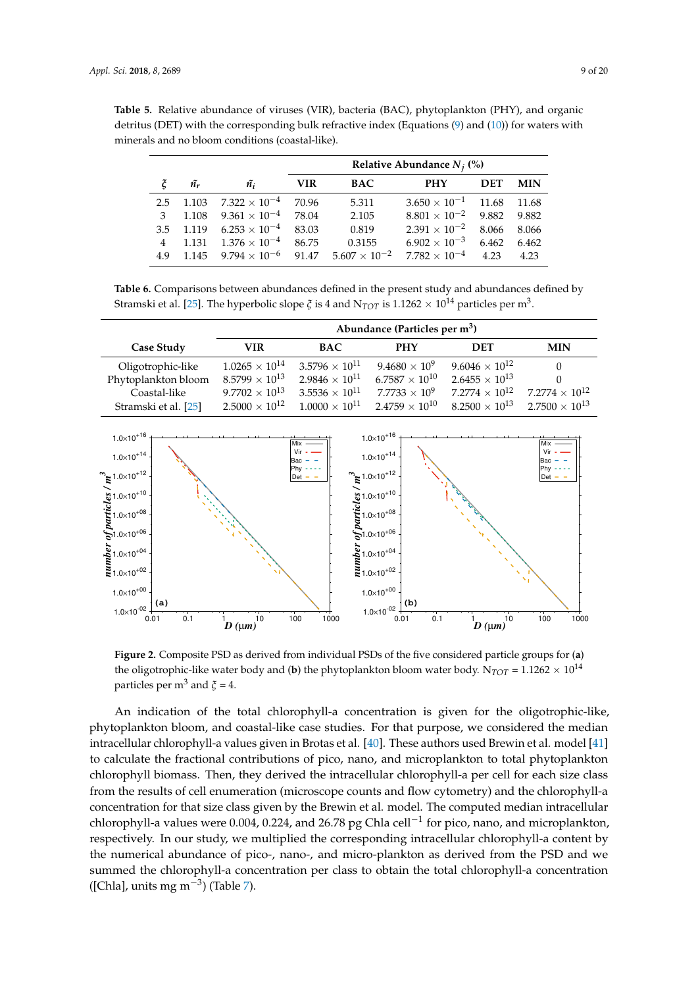|                |               |                              | Relative Abundance $N_i$ (%) |                        |                              |       |            |
|----------------|---------------|------------------------------|------------------------------|------------------------|------------------------------|-------|------------|
|                | $\tilde{n_r}$ | ñ.                           | VIR                          | <b>BAC</b>             | <b>PHY</b>                   | DET   | <b>MIN</b> |
| 2.5            | 1.103         | $7.322 \times 10^{-4}$       | 70.96                        | 5.311                  | $3.650 \times 10^{-1}$       | 11.68 | 11.68      |
| 3              | 1.108         | $9.361 \times 10^{-4}$ 78.04 |                              | 2.105                  | $8.801 \times 10^{-2}$ 9.882 |       | 9.882      |
| 3.5            | 1.119         | $6.253 \times 10^{-4}$       | 83.03                        | 0.819                  | $2.391 \times 10^{-2}$       | 8.066 | 8.066      |
| $\overline{4}$ | 1.131         | $1.376 \times 10^{-4}$       | 86.75                        | 0.3155                 | $6.902 \times 10^{-3}$       | 6.462 | 6.462      |
| 49             | 1.145         | $9.794 \times 10^{-6}$       | 91.47                        | $5.607 \times 10^{-2}$ | $7.782 \times 10^{-4}$       | 4.23  | 4.23       |

<span id="page-8-0"></span>**Table 5.** Relative abundance of viruses (VIR), bacteria (BAC), phytoplankton (PHY), and organic detritus (DET) with the corresponding bulk refractive index (Equations [\(9\)](#page-3-4) and [\(10\)](#page-3-5)) for waters with minerals and no bloom conditions (coastal-like).

<span id="page-8-2"></span>**Table 6.** Comparisons between abundances defined in the present study and abundances defined by Stramski et al. [\[25\]](#page-18-7). The hyperbolic slope  $\xi$  is 4 and  ${\rm N}_{TOT}$  is  $1.1262\times 10^{14}$  particles per m<sup>3</sup>.

|                      | Abundance (Particles per m <sup>3</sup> ) |                         |                                  |                         |                         |
|----------------------|-------------------------------------------|-------------------------|----------------------------------|-------------------------|-------------------------|
| Case Study           | VIR                                       | <b>BAC</b>              | <b>PHY</b>                       | DET                     | <b>MIN</b>              |
| Oligotrophic-like    | $1.0265 \times 10^{14}$                   | $3.5796 \times 10^{11}$ | $9.4680 \times 10^{9}$           | $9.6046 \times 10^{12}$ |                         |
| Phytoplankton bloom  | $8.5799 \times 10^{13}$                   | $2.9846 \times 10^{11}$ | 6.7587 $\times$ 10 <sup>10</sup> | $2.6455 \times 10^{13}$ |                         |
| Coastal-like         | $9.7702 \times 10^{13}$                   | $3.5536 \times 10^{11}$ | $7.7733 \times 10^{9}$           | $7.2774 \times 10^{12}$ | $7.2774 \times 10^{12}$ |
| Stramski et al. [25] | $2.5000 \times 10^{12}$                   | $1.0000 \times 10^{11}$ | $2.4759 \times 10^{10}$          | $8.2500 \times 10^{13}$ | $2.7500 \times 10^{13}$ |

<span id="page-8-1"></span>

**Figure 2.** Composite PSD as derived from individual PSDs of the five considered particle groups for (**a**) the oligotrophic-like water body and (**b**) the phytoplankton bloom water body. N<sub>TOT</sub> =  $1.1262 \times 10^{14}$ particles per m<sup>3</sup> and  $\xi$  = 4.

An indication of the total chlorophyll-a concentration is given for the oligotrophic-like, phytoplankton bloom, and coastal-like case studies. For that purpose, we considered the median intracellular chlorophyll-a values given in Brotas et al. [\[40\]](#page-19-6). These authors used Brewin et al. model [\[41\]](#page-19-7) to calculate the fractional contributions of pico, nano, and microplankton to total phytoplankton chlorophyll biomass. Then, they derived the intracellular chlorophyll-a per cell for each size class from the results of cell enumeration (microscope counts and flow cytometry) and the chlorophyll-a concentration for that size class given by the Brewin et al. model. The computed median intracellular chlorophyll-a values were 0.004, 0.224, and 26.78 pg Chla cell $^{-1}$  for pico, nano, and microplankton, respectively. In our study, we multiplied the corresponding intracellular chlorophyll-a content by the numerical abundance of pico-, nano-, and micro-plankton as derived from the PSD and we summed the chlorophyll-a concentration per class to obtain the total chlorophyll-a concentration ([Chla], units mg m<sup>-3</sup>) (Table [7\)](#page-9-0).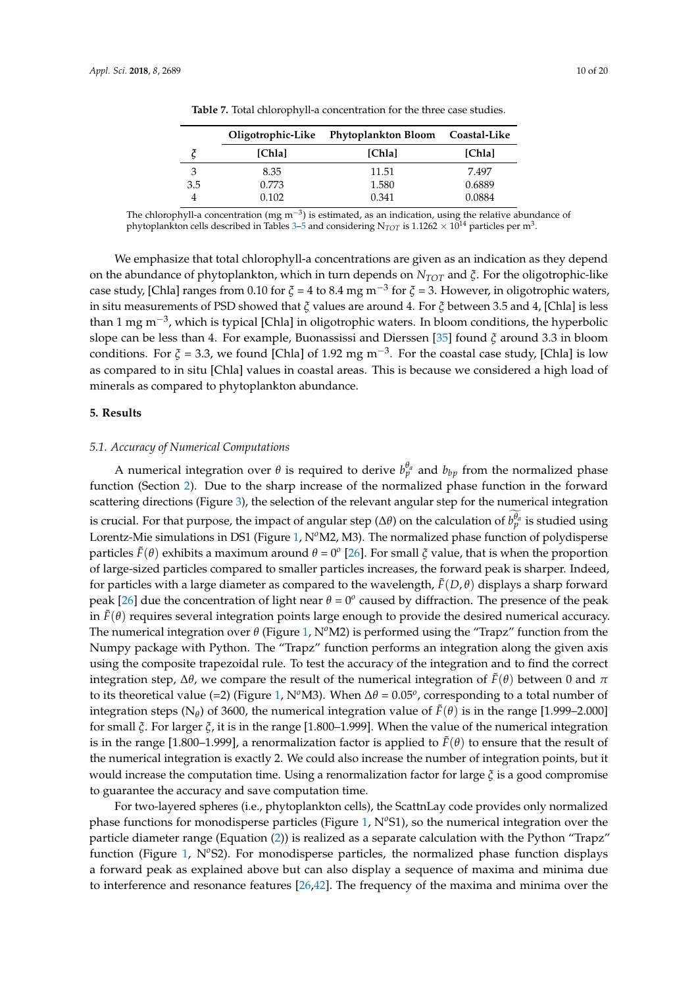<span id="page-9-0"></span>

|     |        | Oligotrophic-Like Phytoplankton Bloom Coastal-Like |        |
|-----|--------|----------------------------------------------------|--------|
|     | [Chla] | [Chla]                                             | [Chla] |
| 3   | 8.35   | 11.51                                              | 7.497  |
| 3.5 | 0.773  | 1.580                                              | 0.6889 |
|     | 0.102  | 0.341                                              | 0.0884 |

**Table 7.** Total chlorophyll-a concentration for the three case studies.

The chlorophyll-a concentration (mg  $m^{-3}$ ) is estimated, as an indication, using the relative abundance of phytoplankton cells described in Tables [3](#page-7-0)[–5](#page-8-0) and considering N<sub>TOT</sub> is 1.1262  $\times$  10<sup>14</sup> particles per m<sup>3</sup>.

We emphasize that total chlorophyll-a concentrations are given as an indication as they depend on the abundance of phytoplankton, which in turn depends on *NTOT* and *ξ*. For the oligotrophic-like case study, [Chla] ranges from 0.10 for *ξ* = 4 to 8.4 mg m−<sup>3</sup> for *ξ* = 3. However, in oligotrophic waters, in situ measurements of PSD showed that *ξ* values are around 4. For *ξ* between 3.5 and 4, [Chla] is less than 1 mg m<sup>-3</sup>, which is typical [Chla] in oligotrophic waters. In bloom conditions, the hyperbolic slope can be less than 4. For example, Buonassissi and Dierssen [\[35\]](#page-19-1) found *ξ* around 3.3 in bloom conditions. For  $\xi$  = 3.3, we found [Chla] of 1.92 mg m<sup>-3</sup>. For the coastal case study, [Chla] is low as compared to in situ [Chla] values in coastal areas. This is because we considered a high load of minerals as compared to phytoplankton abundance.

#### **5. Results**

#### *5.1. Accuracy of Numerical Computations*

A numerical integration over  $\theta$  is required to derive  $b_p^{\theta_a}$  and  $b_{bp}$  from the normalized phase function (Section [2\)](#page-1-0). Due to the sharp increase of the normalized phase function in the forward scattering directions (Figure [3\)](#page-10-0), the selection of the relevant angular step for the numerical integration is crucial. For that purpose, the impact of angular step (∆*θ*) on the calculation of f*b θa <sup>p</sup>* is studied using Lorentz-Mie simulations in DS1 (Figure [1,](#page-5-0) N<sup>o</sup>M2, M3). The normalized phase function of polydisperse particles  $\tilde{F}(\theta)$  exhibits a maximum around  $\theta = 0^o$  [\[26\]](#page-18-8). For small *ξ* value, that is when the proportion of large-sized particles compared to smaller particles increases, the forward peak is sharper. Indeed, for particles with a large diameter as compared to the wavelength,  $\tilde{F}(D,\theta)$  displays a sharp forward peak [\[26\]](#page-18-8) due the concentration of light near  $\theta = 0^{\degree}$  caused by diffraction. The presence of the peak in  $\tilde{F}(\theta)$  requires several integration points large enough to provide the desired numerical accuracy. The numerical integration over *θ* (Figure [1,](#page-5-0) N<sup>o</sup>M2) is performed using the "Trapz" function from the Numpy package with Python. The "Trapz" function performs an integration along the given axis using the composite trapezoidal rule. To test the accuracy of the integration and to find the correct integration step,  $\Delta\theta$ , we compare the result of the numerical integration of *F*(*θ*) between 0 and *π* to its theoretical value (=2) (Figure [1,](#page-5-0) N<sup>o</sup>M3). When Δ $θ = 0.05<sup>o</sup>$ , corresponding to a total number of integration steps (N<sub>θ</sub>) of 3600, the numerical integration value of  $\tilde{F}(\theta)$  is in the range [1.999–2.000] for small *ξ*. For larger *ξ*, it is in the range [1.800–1.999]. When the value of the numerical integration is in the range [1.800–1.999], a renormalization factor is applied to  $\tilde{F}(\theta)$  to ensure that the result of the numerical integration is exactly 2. We could also increase the number of integration points, but it would increase the computation time. Using a renormalization factor for large *ξ* is a good compromise to guarantee the accuracy and save computation time.

For two-layered spheres (i.e., phytoplankton cells), the ScattnLay code provides only normalized phase functions for monodisperse particles (Figure [1,](#page-5-0) N<sup>o</sup>S1), so the numerical integration over the particle diameter range (Equation [\(2\)](#page-2-0)) is realized as a separate calculation with the Python "Trapz" function (Figure [1,](#page-5-0)  $N^0S2$ ). For monodisperse particles, the normalized phase function displays a forward peak as explained above but can also display a sequence of maxima and minima due to interference and resonance features [\[26,](#page-18-8)[42\]](#page-19-8). The frequency of the maxima and minima over the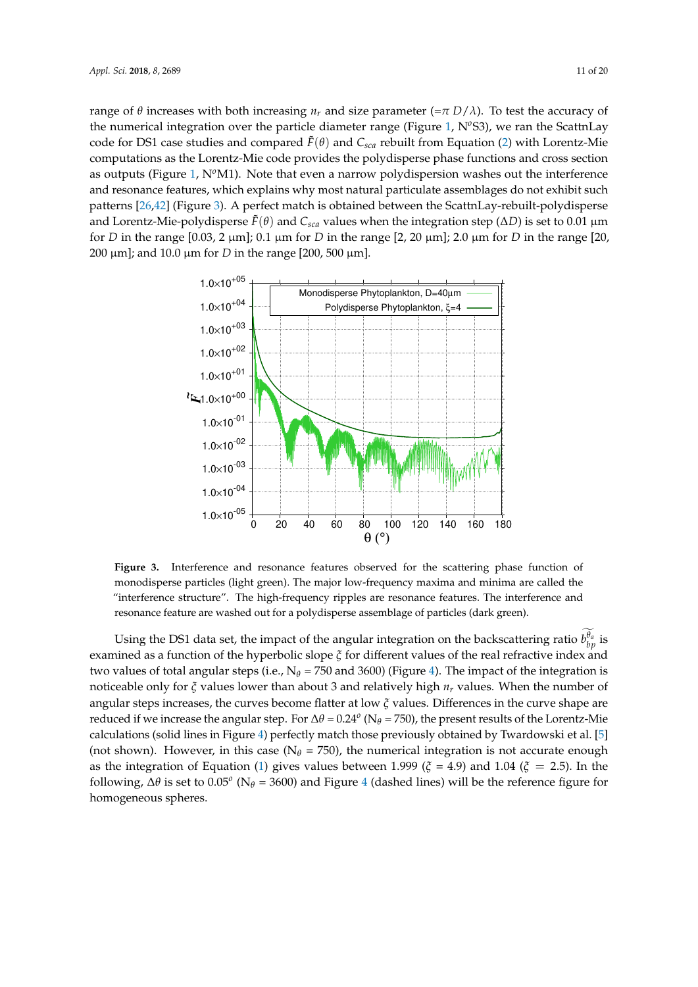range of *θ* increases with both increasing *n<sub>r</sub>* and size parameter (=*π D/* $\lambda$ ). To test the accuracy of the numerical integration over the particle diameter range (Figure [1,](#page-5-0) N*o*S3), we ran the ScattnLay code for DS1 case studies and compared  $\tilde{F}(\theta)$  and  $C_{sca}$  rebuilt from Equation [\(2\)](#page-2-0) with Lorentz-Mie computations as the Lorentz-Mie code provides the polydisperse phase functions and cross section as outputs (Figure [1,](#page-5-0) N*o*M1). Note that even a narrow polydispersion washes out the interference and resonance features, which explains why most natural particulate assemblages do not exhibit such patterns [\[26,](#page-18-8)[42\]](#page-19-8) (Figure [3\)](#page-10-0). A perfect match is obtained between the ScattnLay-rebuilt-polydisperse and Lorentz-Mie-polydisperse  $\tilde{F}(\theta)$  and  $C_{sca}$  values when the integration step (Δ*D*) is set to 0.01 μm for *D* in the range [0.03, 2 µm]; 0.1 µm for *D* in the range [2, 20 µm]; 2.0 µm for *D* in the range [20, 200 µm]; and 10.0 µm for *D* in the range [200, 500 µm].

<span id="page-10-0"></span>

**Figure 3.** Interference and resonance features observed for the scattering phase function of monodisperse particles (light green). The major low-frequency maxima and minima are called the "interference structure". The high-frequency ripples are resonance features. The interference and resonance feature are washed out for a polydisperse assemblage of particles (dark green).

Using the DS1 data set, the impact of the angular integration on the backscattering ratio  $b_{bp}^{\theta_a}$  is examined as a function of the hyperbolic slope *ξ* for different values of the real refractive index and two values of total angular steps (i.e.,  $N_\theta$  = 750 and 3600) (Figure [4\)](#page-11-0). The impact of the integration is noticeable only for *ξ* values lower than about 3 and relatively high *n<sup>r</sup>* values. When the number of angular steps increases, the curves become flatter at low *ξ* values. Differences in the curve shape are reduced if we increase the angular step. For ∆*θ* = 0.24*<sup>o</sup>* (N*<sup>θ</sup>* = 750), the present results of the Lorentz-Mie calculations (solid lines in Figure [4\)](#page-11-0) perfectly match those previously obtained by Twardowski et al. [\[5\]](#page-17-3) (not shown). However, in this case ( $N_\theta$  = 750), the numerical integration is not accurate enough as the integration of Equation [\(1\)](#page-2-1) gives values between 1.999 ( $\xi$  = 4.9) and 1.04 ( $\xi$  = 2.5). In the following,  $\Delta\theta$  is set to 0.05<sup>*o*</sup> (N<sub>*θ*</sub> = 3600) and Figure [4](#page-11-0) (dashed lines) will be the reference figure for homogeneous spheres.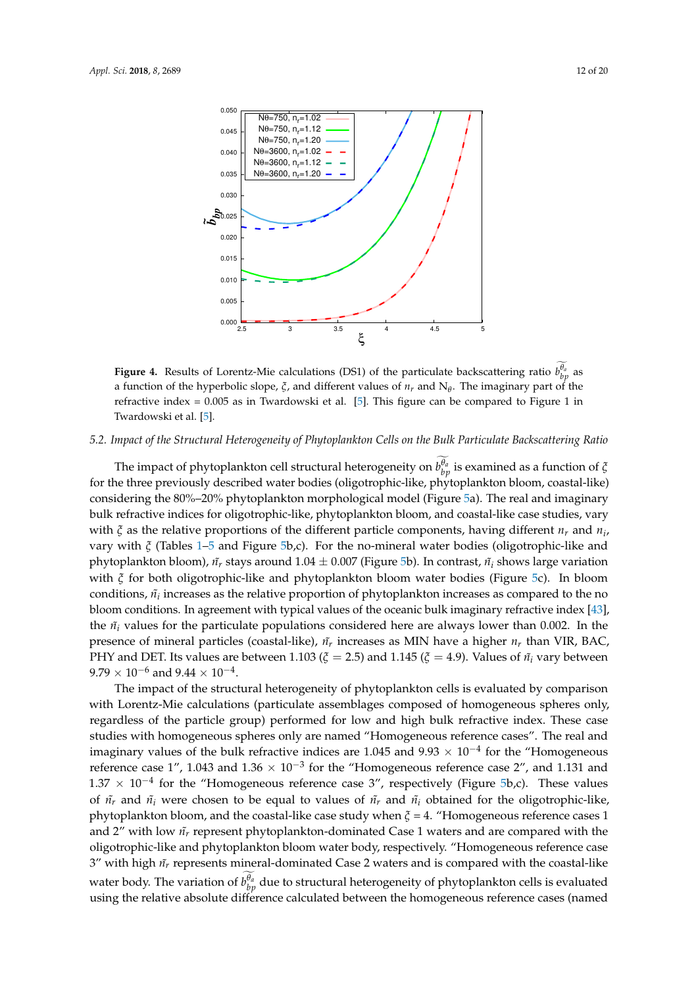<span id="page-11-0"></span>

**Figure 4.** Results of Lorentz-Mie calculations (DS1) of the particulate backscattering ratio  $b_{bp}^{\theta_a}$  as a function of the hyperbolic slope, *ξ*, and different values of *n<sup>r</sup>* and N*<sup>θ</sup>* . The imaginary part of the refractive index = 0.005 as in Twardowski et al. [\[5\]](#page-17-3). This figure can be compared to Figure 1 in Twardowski et al. [\[5\]](#page-17-3).

## *5.2. Impact of the Structural Heterogeneity of Phytoplankton Cells on the Bulk Particulate Backscattering Ratio*

The impact of phytoplankton cell structural heterogeneity on  $b_{bp}^{\theta_a}$  is examined as a function of  $\zeta$ for the three previously described water bodies (oligotrophic-like, phytoplankton bloom, coastal-like) considering the 80%–20% phytoplankton morphological model (Figure [5a](#page-12-0)). The real and imaginary bulk refractive indices for oligotrophic-like, phytoplankton bloom, and coastal-like case studies, vary with *ξ* as the relative proportions of the different particle components, having different *n<sup>r</sup>* and *n<sup>i</sup>* , vary with *ξ* (Tables [1–](#page-3-0)[5](#page-8-0) and Figure [5b](#page-12-0),c). For the no-mineral water bodies (oligotrophic-like and phytoplankton bloom),  $\tilde{n}_r$  stays around 1.04  $\pm$  0.007 (Figure [5b](#page-12-0)). In contrast,  $\tilde{n}_i$  shows large variation with *ξ* for both oligotrophic-like and phytoplankton bloom water bodies (Figure [5c](#page-12-0)). In bloom conditions,  $\tilde{n_i}$  increases as the relative proportion of phytoplankton increases as compared to the no bloom conditions. In agreement with typical values of the oceanic bulk imaginary refractive index [\[43\]](#page-19-9), the  $\tilde{n}_i$  values for the particulate populations considered here are always lower than 0.002. In the presence of mineral particles (coastal-like), *n*˜*<sup>r</sup>* increases as MIN have a higher *n<sup>r</sup>* than VIR, BAC, PHY and DET. Its values are between 1.103 ( $\xi$  = 2.5) and 1.145 ( $\xi$  = 4.9). Values of  $\tilde{n}_i$  vary between  $9.79\times10^{-6}$  and  $9.44\times10^{-4}$ .

The impact of the structural heterogeneity of phytoplankton cells is evaluated by comparison with Lorentz-Mie calculations (particulate assemblages composed of homogeneous spheres only, regardless of the particle group) performed for low and high bulk refractive index. These case studies with homogeneous spheres only are named "Homogeneous reference cases". The real and imaginary values of the bulk refractive indices are 1.045 and 9.93  $\times$  10<sup>-4</sup> for the "Homogeneous reference case 1", 1.043 and  $1.36 \times 10^{-3}$  for the "Homogeneous reference case 2", and 1.131 and 1.37 × 10<sup>-4</sup> for the "Homogeneous reference case 3", respectively (Figure [5b](#page-12-0),c). These values of  $\tilde{n}_r$  and  $\tilde{n}_i$  were chosen to be equal to values of  $\tilde{n}_r$  and  $\tilde{n}_i$  obtained for the oligotrophic-like, phytoplankton bloom, and the coastal-like case study when *ξ* = 4. "Homogeneous reference cases 1 and  $2''$  with low  $n<sub>r</sub>$  represent phytoplankton-dominated Case 1 waters and are compared with the oligotrophic-like and phytoplankton bloom water body, respectively. "Homogeneous reference case 3" with high  $\tilde{n}_r$  represents mineral-dominated Case 2 waters and is compared with the coastal-like water body. The variation of  $b_{bp}^{\theta_a}$  due to structural heterogeneity of phytoplankton cells is evaluated using the relative absolute difference calculated between the homogeneous reference cases (named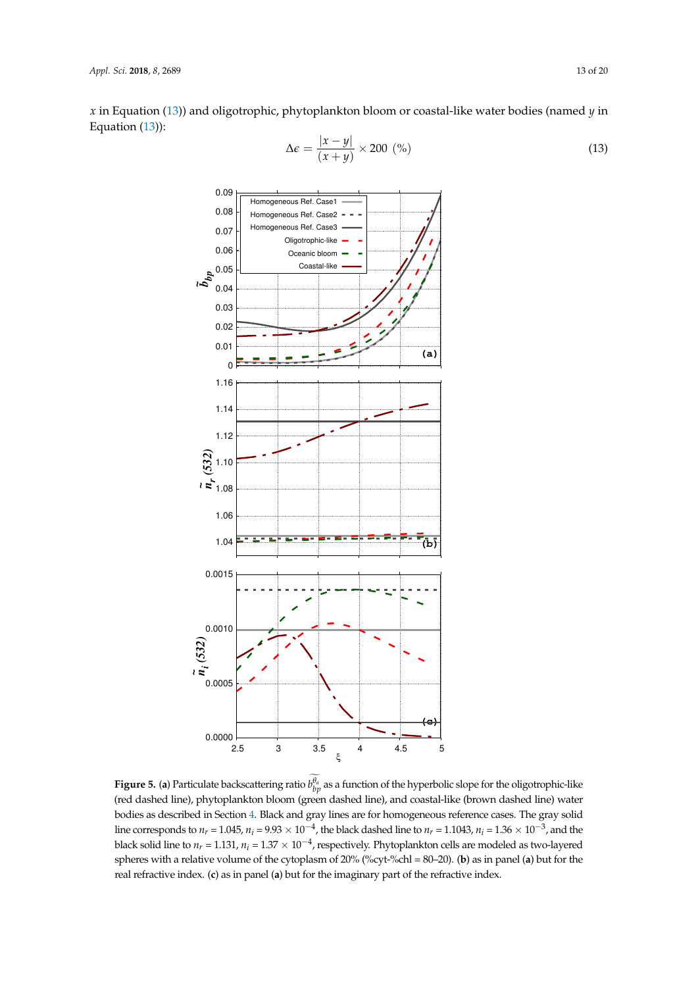<span id="page-12-0"></span>*x* in Equation [\(13\)](#page-12-1)) and oligotrophic, phytoplankton bloom or coastal-like water bodies (named *y* in Equation [\(13\)](#page-12-1)):

<span id="page-12-1"></span>
$$
\Delta \epsilon = \frac{|x - y|}{(x + y)} \times 200 \, (\%) \tag{13}
$$



**Figure 5. (a)** Particulate backscattering ratio  $b_{bp}^{θ_a}$  as a function of the hyperbolic slope for the oligotrophic-like (red dashed line), phytoplankton bloom (green dashed line), and coastal-like (brown dashed line) water bodies as described in Section [4.](#page-6-1) Black and gray lines are for homogeneous reference cases. The gray solid line corresponds to  $n_r = 1.045$ ,  $n_i = 9.93 \times 10^{-4}$ , the black dashed line to  $n_r = 1.1043$ ,  $n_i = 1.36 \times 10^{-3}$ , and the black solid line to  $n_r = 1.131$ ,  $n_i = 1.37 \times 10^{-4}$ , respectively. Phytoplankton cells are modeled as two-layered spheres with a relative volume of the cytoplasm of 20% (%cyt-%chl = 80–20). (**b**) as in panel (**a**) but for the real refractive index. (**c**) as in panel (**a**) but for the imaginary part of the refractive index.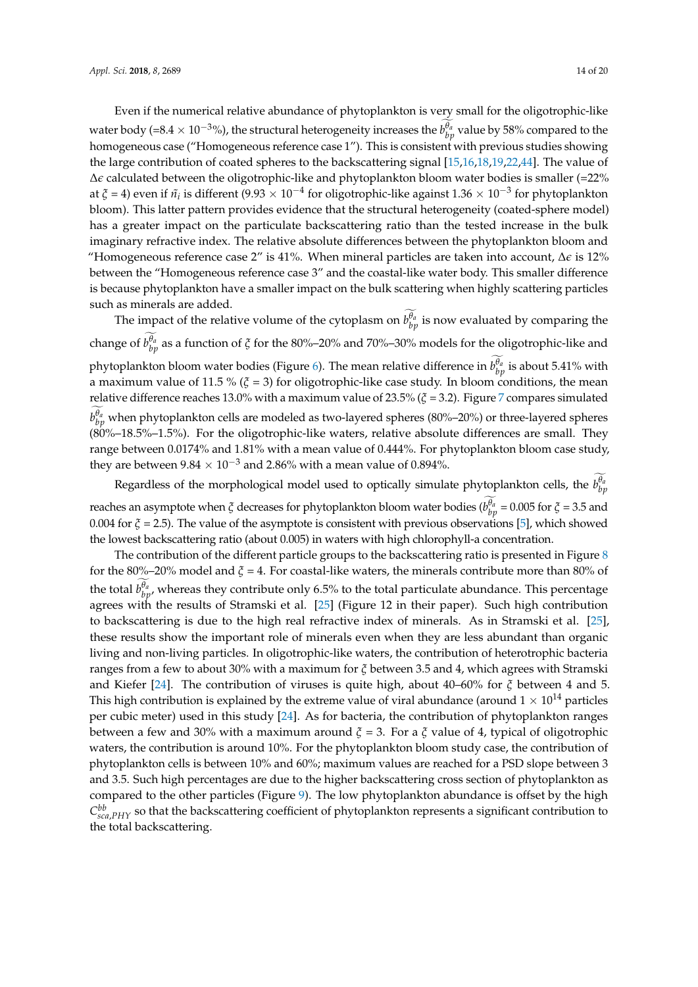Even if the numerical relative abundance of phytoplankton is very small for the oligotrophic-like water body (=8.4  $\times$   $10^{-3}$ %), the structural heterogeneity increases the  $b_{bp}^{\theta_a}$  value by 58% compared to the homogeneous case ("Homogeneous reference case 1"). This is consistent with previous studies showing the large contribution of coated spheres to the backscattering signal [\[15,](#page-18-5)[16,](#page-18-6)[18,](#page-18-17)[19,](#page-18-18)[22,](#page-18-19)[44\]](#page-19-10). The value of ∆*e* calculated between the oligotrophic-like and phytoplankton bloom water bodies is smaller (=22% at  $\xi$  = 4) even if  $\tilde{n_i}$  is different (9.93  $\times$   $10^{-4}$  for oligotrophic-like against  $1.36\times10^{-3}$  for phytoplankton bloom). This latter pattern provides evidence that the structural heterogeneity (coated-sphere model) has a greater impact on the particulate backscattering ratio than the tested increase in the bulk imaginary refractive index. The relative absolute differences between the phytoplankton bloom and "Homogeneous reference case 2" is 41%. When mineral particles are taken into account, ∆*e* is 12% between the "Homogeneous reference case 3" and the coastal-like water body. This smaller difference is because phytoplankton have a smaller impact on the bulk scattering when highly scattering particles such as minerals are added.

The impact of the relative volume of the cytoplasm on  $b_{bp}^{\theta_a}$  is now evaluated by comparing the change of  $b_{bp}^{\theta_a}$  as a function of *ξ* for the 80%–20% and 70%–30% models for the oligotrophic-like and phytoplankton bloom water bodies (Figure [6\)](#page-14-0). The mean relative difference in  $b^{{\theta_a}}_{bp}$  is about 5.41% with a maximum value of 11.5 % (*ξ* = 3) for oligotrophic-like case study. In bloom conditions, the mean relative difference reaches 13.0% with a maximum value of 23.5% (*ξ* = 3.2). Figure [7](#page-14-1) compares simulated  $b^{\theta_a}_{bp}$  when phytoplankton cells are modeled as two-layered spheres (80%–20%) or three-layered spheres  $(80\% - 18.5\% - 1.5\%)$ . For the oligotrophic-like waters, relative absolute differences are small. They range between 0.0174% and 1.81% with a mean value of 0.444%. For phytoplankton bloom case study, they are between  $9.84 \times 10^{-3}$  and 2.86% with a mean value of 0.894%.

Regardless of the morphological model used to optically simulate phytoplankton cells, the  $b_{bp}^{\theta_a}$ reaches an asymptote when  $\zeta$  decreases for phytoplankton bloom water bodies ( $b_{bp}^{\theta_a}$  = 0.005 for  $\zeta$  = 3.5 and 0.004 for *ξ* = 2.5). The value of the asymptote is consistent with previous observations [\[5\]](#page-17-3), which showed the lowest backscattering ratio (about 0.005) in waters with high chlorophyll-a concentration.

The contribution of the different particle groups to the backscattering ratio is presented in Figure [8](#page-15-0) for the 80%–20% model and *ξ* = 4. For coastal-like waters, the minerals contribute more than 80% of the total  $b_{bp}^{\theta_a}$ , whereas they contribute only 6.5% to the total particulate abundance. This percentage agrees with the results of Stramski et al. [\[25\]](#page-18-7) (Figure 12 in their paper). Such high contribution to backscattering is due to the high real refractive index of minerals. As in Stramski et al. [\[25\]](#page-18-7), these results show the important role of minerals even when they are less abundant than organic living and non-living particles. In oligotrophic-like waters, the contribution of heterotrophic bacteria ranges from a few to about 30% with a maximum for *ξ* between 3.5 and 4, which agrees with Stramski and Kiefer [\[24\]](#page-18-4). The contribution of viruses is quite high, about 40–60% for *ξ* between 4 and 5. This high contribution is explained by the extreme value of viral abundance (around  $1 \times 10^{14}$  particles per cubic meter) used in this study [\[24\]](#page-18-4). As for bacteria, the contribution of phytoplankton ranges between a few and 30% with a maximum around  $\zeta$  = 3. For a  $\zeta$  value of 4, typical of oligotrophic waters, the contribution is around 10%. For the phytoplankton bloom study case, the contribution of phytoplankton cells is between 10% and 60%; maximum values are reached for a PSD slope between 3 and 3.5. Such high percentages are due to the higher backscattering cross section of phytoplankton as compared to the other particles (Figure [9\)](#page-16-0). The low phytoplankton abundance is offset by the high  $C_{sca,PHY}^{bb}$  so that the backscattering coefficient of phytoplankton represents a significant contribution to the total backscattering.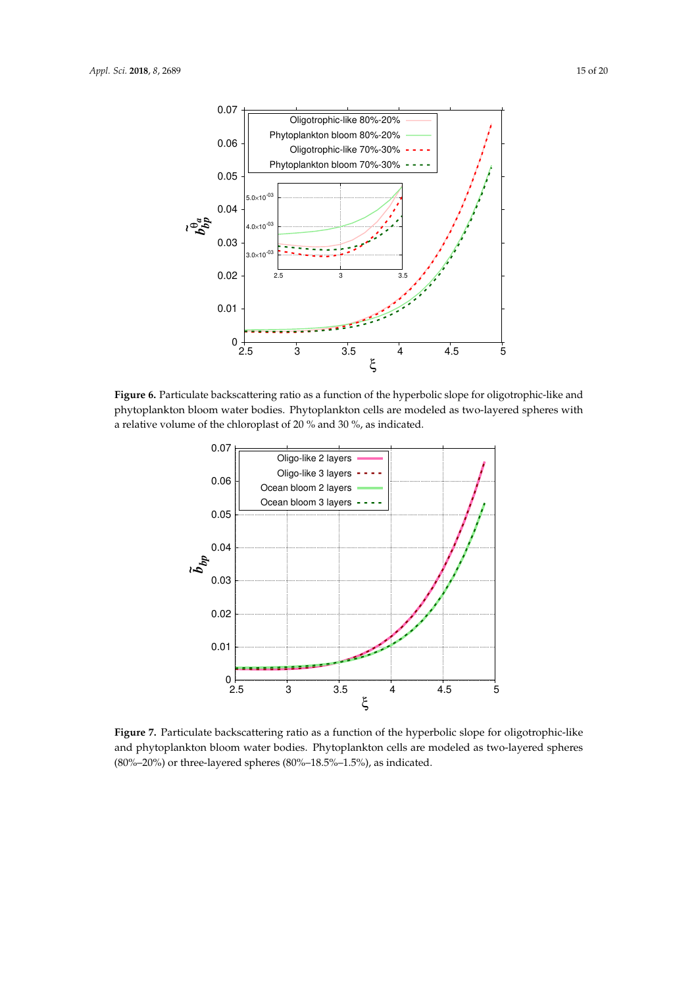<span id="page-14-0"></span>

<span id="page-14-1"></span>**Figure 6.** Particulate backscattering ratio as a function of the hyperbolic slope for oligotrophic-like and phytoplankton bloom water bodies. Phytoplankton cells are modeled as two-layered spheres with a relative volume of the chloroplast of 20 % and 30 %, as indicated.



**Figure 7.** Particulate backscattering ratio as a function of the hyperbolic slope for oligotrophic-like and phytoplankton bloom water bodies. Phytoplankton cells are modeled as two-layered spheres (80%–20%) or three-layered spheres (80%–18.5%–1.5%), as indicated.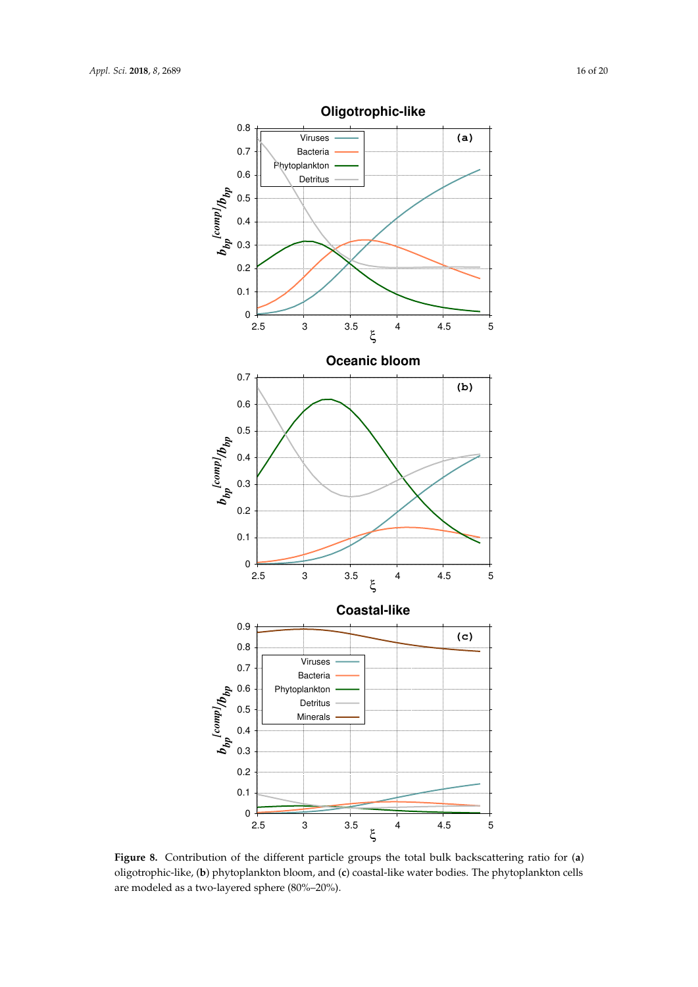<span id="page-15-0"></span>

**Figure 8.** Contribution of the different particle groups the total bulk backscattering ratio for (**a**) oligotrophic-like, (**b**) phytoplankton bloom, and (**c**) coastal-like water bodies. The phytoplankton cells are modeled as a two-layered sphere (80%–20%).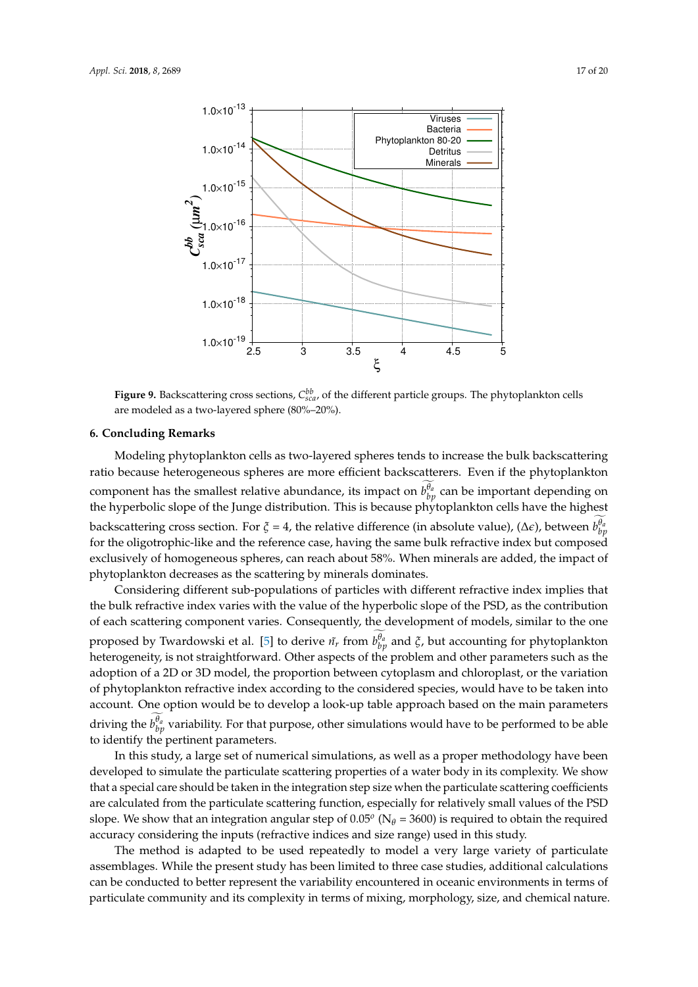<span id="page-16-0"></span>

**Figure 9.** Backscattering cross sections,  $C_{sca}^{bb}$ , of the different particle groups. The phytoplankton cells are modeled as a two-layered sphere (80%–20%).

## **6. Concluding Remarks**

Modeling phytoplankton cells as two-layered spheres tends to increase the bulk backscattering ratio because heterogeneous spheres are more efficient backscatterers. Even if the phytoplankton component has the smallest relative abundance, its impact on  $b_{bp}^{\theta_a}$  can be important depending on the hyperbolic slope of the Junge distribution. This is because phytoplankton cells have the highest backscattering cross section. For  $\xi = 4$ , the relative difference (in absolute value), ( $\Delta \epsilon$ ), between  $b_{bp}^{\theta_a}$ for the oligotrophic-like and the reference case, having the same bulk refractive index but composed exclusively of homogeneous spheres, can reach about 58%. When minerals are added, the impact of phytoplankton decreases as the scattering by minerals dominates.

Considering different sub-populations of particles with different refractive index implies that the bulk refractive index varies with the value of the hyperbolic slope of the PSD, as the contribution of each scattering component varies. Consequently, the development of models, similar to the one proposed by Twardowski et al. [\[5\]](#page-17-3) to derive *n*˜*<sup>r</sup>* from f*b θa bp* and *ξ*, but accounting for phytoplankton heterogeneity, is not straightforward. Other aspects of the problem and other parameters such as the adoption of a 2D or 3D model, the proportion between cytoplasm and chloroplast, or the variation of phytoplankton refractive index according to the considered species, would have to be taken into account. One option would be to develop a look-up table approach based on the main parameters driving the  $b_{bp}^{θ_a}$  variability. For that purpose, other simulations would have to be performed to be able to identify the pertinent parameters.

In this study, a large set of numerical simulations, as well as a proper methodology have been developed to simulate the particulate scattering properties of a water body in its complexity. We show that a special care should be taken in the integration step size when the particulate scattering coefficients are calculated from the particulate scattering function, especially for relatively small values of the PSD slope. We show that an integration angular step of  $0.05^{\circ}$  ( $N_{\theta}$  = 3600) is required to obtain the required accuracy considering the inputs (refractive indices and size range) used in this study.

The method is adapted to be used repeatedly to model a very large variety of particulate assemblages. While the present study has been limited to three case studies, additional calculations can be conducted to better represent the variability encountered in oceanic environments in terms of particulate community and its complexity in terms of mixing, morphology, size, and chemical nature.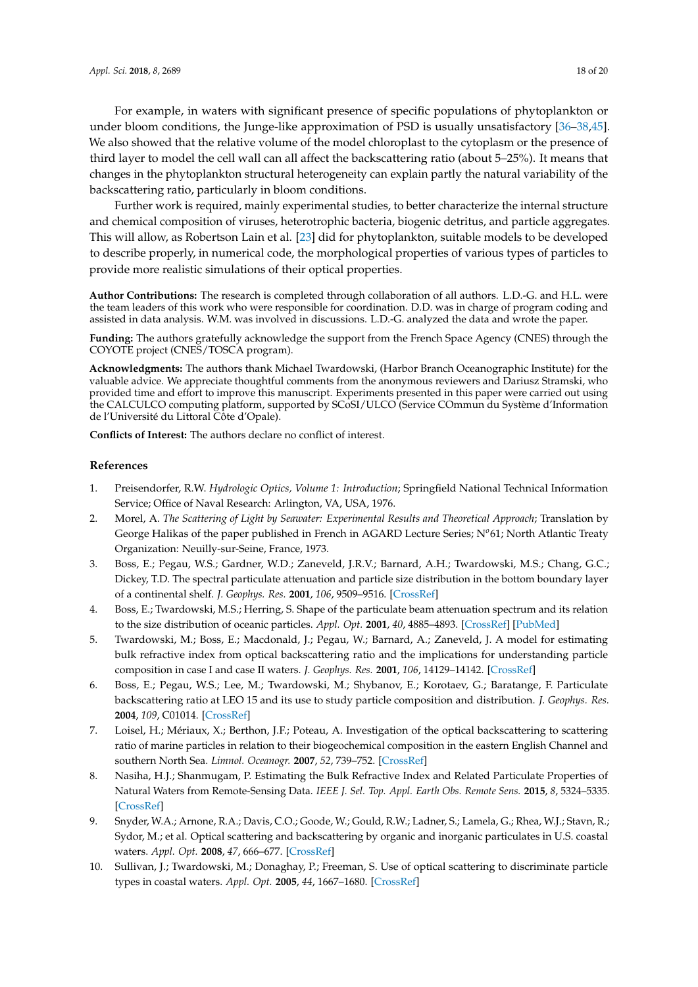Further work is required, mainly experimental studies, to better characterize the internal structure and chemical composition of viruses, heterotrophic bacteria, biogenic detritus, and particle aggregates. This will allow, as Robertson Lain et al. [\[23\]](#page-18-3) did for phytoplankton, suitable models to be developed to describe properly, in numerical code, the morphological properties of various types of particles to provide more realistic simulations of their optical properties.

**Author Contributions:** The research is completed through collaboration of all authors. L.D.-G. and H.L. were the team leaders of this work who were responsible for coordination. D.D. was in charge of program coding and assisted in data analysis. W.M. was involved in discussions. L.D.-G. analyzed the data and wrote the paper.

**Funding:** The authors gratefully acknowledge the support from the French Space Agency (CNES) through the COYOTE project (CNES/TOSCA program).

**Acknowledgments:** The authors thank Michael Twardowski, (Harbor Branch Oceanographic Institute) for the valuable advice. We appreciate thoughtful comments from the anonymous reviewers and Dariusz Stramski, who provided time and effort to improve this manuscript. Experiments presented in this paper were carried out using the CALCULCO computing platform, supported by SCoSI/ULCO (Service COmmun du Système d'Information de l'Université du Littoral Côte d'Opale).

**Conflicts of Interest:** The authors declare no conflict of interest.

backscattering ratio, particularly in bloom conditions.

## **References**

- <span id="page-17-0"></span>1. Preisendorfer, R.W. *Hydrologic Optics, Volume 1: Introduction*; Springfield National Technical Information Service; Office of Naval Research: Arlington, VA, USA, 1976.
- <span id="page-17-1"></span>2. Morel, A. *The Scattering of Light by Seawater: Experimental Results and Theoretical Approach*; Translation by George Halikas of the paper published in French in AGARD Lecture Series; N*o*61; North Atlantic Treaty Organization: Neuilly-sur-Seine, France, 1973.
- 3. Boss, E.; Pegau, W.S.; Gardner, W.D.; Zaneveld, J.R.V.; Barnard, A.H.; Twardowski, M.S.; Chang, G.C.; Dickey, T.D. The spectral particulate attenuation and particle size distribution in the bottom boundary layer of a continental shelf. *J. Geophys. Res.* **2001**, *106*, 9509–9516. [\[CrossRef\]](http://dx.doi.org/10.1029/2000JC900077)
- <span id="page-17-2"></span>4. Boss, E.; Twardowski, M.S.; Herring, S. Shape of the particulate beam attenuation spectrum and its relation to the size distribution of oceanic particles. *Appl. Opt.* **2001**, *40*, 4885–4893. [\[CrossRef\]](http://dx.doi.org/10.1364/AO.40.004885) [\[PubMed\]](http://www.ncbi.nlm.nih.gov/pubmed/18360531)
- <span id="page-17-3"></span>5. Twardowski, M.; Boss, E.; Macdonald, J.; Pegau, W.; Barnard, A.; Zaneveld, J. A model for estimating bulk refractive index from optical backscattering ratio and the implications for understanding particle composition in case I and case II waters. *J. Geophys. Res.* **2001**, *106*, 14129–14142. [\[CrossRef\]](http://dx.doi.org/10.1029/2000JC000404)
- <span id="page-17-4"></span>6. Boss, E.; Pegau, W.S.; Lee, M.; Twardowski, M.; Shybanov, E.; Korotaev, G.; Baratange, F. Particulate backscattering ratio at LEO 15 and its use to study particle composition and distribution. *J. Geophys. Res.* **2004**, *109*, C01014. [\[CrossRef\]](http://dx.doi.org/10.1029/2002JC001514)
- 7. Loisel, H.; Mériaux, X.; Berthon, J.F.; Poteau, A. Investigation of the optical backscattering to scattering ratio of marine particles in relation to their biogeochemical composition in the eastern English Channel and southern North Sea. *Limnol. Oceanogr.* **2007**, *52*, 739–752. [\[CrossRef\]](http://dx.doi.org/10.4319/lo.2007.52.2.0739)
- 8. Nasiha, H.J.; Shanmugam, P. Estimating the Bulk Refractive Index and Related Particulate Properties of Natural Waters from Remote-Sensing Data. *IEEE J. Sel. Top. Appl. Earth Obs. Remote Sens.* **2015**, *8*, 5324–5335. [\[CrossRef\]](http://dx.doi.org/10.1109/JSTARS.2015.2439581)
- 9. Snyder, W.A.; Arnone, R.A.; Davis, C.O.; Goode, W.; Gould, R.W.; Ladner, S.; Lamela, G.; Rhea, W.J.; Stavn, R.; Sydor, M.; et al. Optical scattering and backscattering by organic and inorganic particulates in U.S. coastal waters. *Appl. Opt.* **2008**, *47*, 666–677. [\[CrossRef\]](http://dx.doi.org/10.1364/AO.47.000666)
- <span id="page-17-5"></span>10. Sullivan, J.; Twardowski, M.; Donaghay, P.; Freeman, S. Use of optical scattering to discriminate particle types in coastal waters. *Appl. Opt.* **2005**, *44*, 1667–1680. [\[CrossRef\]](http://dx.doi.org/10.1364/AO.44.001667)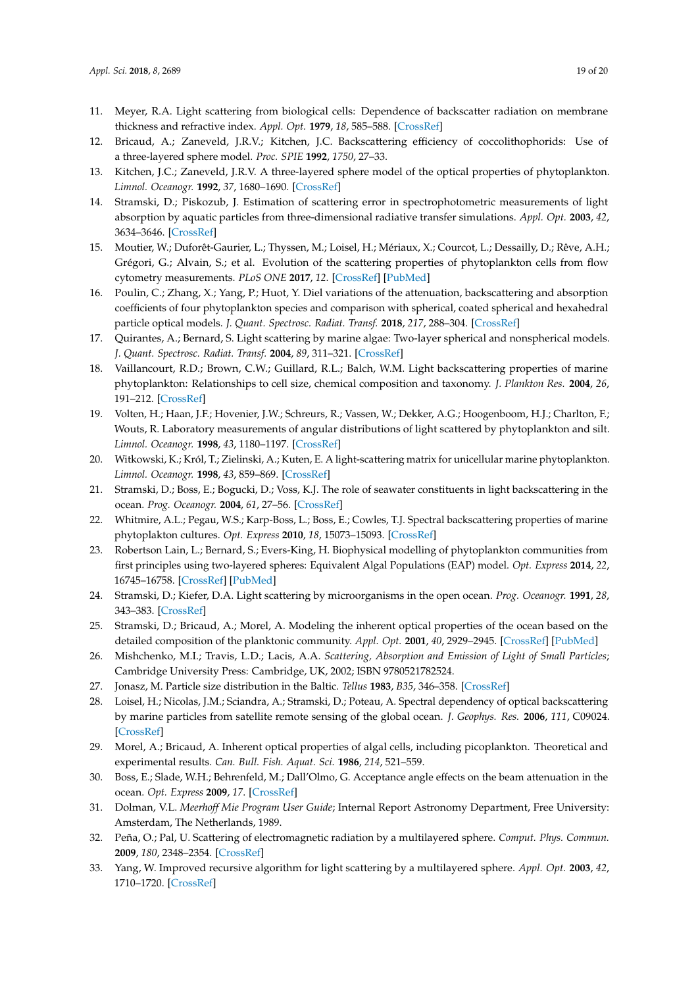- <span id="page-18-0"></span>11. Meyer, R.A. Light scattering from biological cells: Dependence of backscatter radiation on membrane thickness and refractive index. *Appl. Opt.* **1979**, *18*, 585–588. [\[CrossRef\]](http://dx.doi.org/10.1364/AO.18.000585)
- 12. Bricaud, A.; Zaneveld, J.R.V.; Kitchen, J.C. Backscattering efficiency of coccolithophorids: Use of a three-layered sphere model. *Proc. SPIE* **1992**, *1750*, 27–33.
- <span id="page-18-16"></span>13. Kitchen, J.C.; Zaneveld, J.R.V. A three-layered sphere model of the optical properties of phytoplankton. *Limnol. Oceanogr.* **1992**, *37*, 1680–1690. [\[CrossRef\]](http://dx.doi.org/10.4319/lo.1992.37.8.1680)
- 14. Stramski, D.; Piskozub, J. Estimation of scattering error in spectrophotometric measurements of light absorption by aquatic particles from three-dimensional radiative transfer simulations. *Appl. Opt.* **2003**, *42*, 3634–3646. [\[CrossRef\]](http://dx.doi.org/10.1364/AO.42.003634)
- <span id="page-18-5"></span>15. Moutier, W.; Duforêt-Gaurier, L.; Thyssen, M.; Loisel, H.; Mériaux, X.; Courcot, L.; Dessailly, D.; Rêve, A.H.; Grégori, G.; Alvain, S.; et al. Evolution of the scattering properties of phytoplankton cells from flow cytometry measurements. *PLoS ONE* **2017**, *12*. [\[CrossRef\]](http://dx.doi.org/10.1371/journal.pone.0181180) [\[PubMed\]](http://www.ncbi.nlm.nih.gov/pubmed/28708882)
- <span id="page-18-6"></span>16. Poulin, C.; Zhang, X.; Yang, P.; Huot, Y. Diel variations of the attenuation, backscattering and absorption coefficients of four phytoplankton species and comparison with spherical, coated spherical and hexahedral particle optical models. *J. Quant. Spectrosc. Radiat. Transf.* **2018**, *217*, 288–304. [\[CrossRef\]](http://dx.doi.org/10.1016/j.jqsrt.2018.05.035)
- 17. Quirantes, A.; Bernard, S. Light scattering by marine algae: Two-layer spherical and nonspherical models. *J. Quant. Spectrosc. Radiat. Transf.* **2004**, *89*, 311–321. [\[CrossRef\]](http://dx.doi.org/10.1016/j.jqsrt.2004.05.031)
- <span id="page-18-17"></span>18. Vaillancourt, R.D.; Brown, C.W.; Guillard, R.L.; Balch, W.M. Light backscattering properties of marine phytoplankton: Relationships to cell size, chemical composition and taxonomy. *J. Plankton Res.* **2004**, *26*, 191–212. [\[CrossRef\]](http://dx.doi.org/10.1093/plankt/fbh012)
- <span id="page-18-18"></span>19. Volten, H.; Haan, J.F.; Hovenier, J.W.; Schreurs, R.; Vassen, W.; Dekker, A.G.; Hoogenboom, H.J.; Charlton, F.; Wouts, R. Laboratory measurements of angular distributions of light scattered by phytoplankton and silt. *Limnol. Oceanogr.* **1998**, *43*, 1180–1197. [\[CrossRef\]](http://dx.doi.org/10.4319/lo.1998.43.6.1180)
- <span id="page-18-1"></span>20. Witkowski, K.; Król, T.; Zielinski, A.; Kuten, E. A light-scattering matrix for unicellular marine phytoplankton. *Limnol. Oceanogr.* **1998**, *43*, 859–869. [\[CrossRef\]](http://dx.doi.org/10.4319/lo.1998.43.5.0859)
- <span id="page-18-2"></span>21. Stramski, D.; Boss, E.; Bogucki, D.; Voss, K.J. The role of seawater constituents in light backscattering in the ocean. *Prog. Oceanogr.* **2004**, *61*, 27–56. [\[CrossRef\]](http://dx.doi.org/10.1016/j.pocean.2004.07.001)
- <span id="page-18-19"></span>22. Whitmire, A.L.; Pegau, W.S.; Karp-Boss, L.; Boss, E.; Cowles, T.J. Spectral backscattering properties of marine phytoplakton cultures. *Opt. Express* **2010**, *18*, 15073–15093. [\[CrossRef\]](http://dx.doi.org/10.1364/OE.18.015073)
- <span id="page-18-3"></span>23. Robertson Lain, L.; Bernard, S.; Evers-King, H. Biophysical modelling of phytoplankton communities from first principles using two-layered spheres: Equivalent Algal Populations (EAP) model. *Opt. Express* **2014**, *22*, 16745–16758. [\[CrossRef\]](http://dx.doi.org/10.1364/OE.22.016745) [\[PubMed\]](http://www.ncbi.nlm.nih.gov/pubmed/25090493)
- <span id="page-18-4"></span>24. Stramski, D.; Kiefer, D.A. Light scattering by microorganisms in the open ocean. *Prog. Oceanogr.* **1991**, *28*, 343–383. [\[CrossRef\]](http://dx.doi.org/10.1016/0079-6611(91)90032-H)
- <span id="page-18-7"></span>25. Stramski, D.; Bricaud, A.; Morel, A. Modeling the inherent optical properties of the ocean based on the detailed composition of the planktonic community. *Appl. Opt.* **2001**, *40*, 2929–2945. [\[CrossRef\]](http://dx.doi.org/10.1364/AO.40.002929) [\[PubMed\]](http://www.ncbi.nlm.nih.gov/pubmed/18357311)
- <span id="page-18-8"></span>26. Mishchenko, M.I.; Travis, L.D.; Lacis, A.A. *Scattering, Absorption and Emission of Light of Small Particles*; Cambridge University Press: Cambridge, UK, 2002; ISBN 9780521782524.
- <span id="page-18-9"></span>27. Jonasz, M. Particle size distribution in the Baltic. *Tellus* **1983**, *B35*, 346–358. [\[CrossRef\]](http://dx.doi.org/10.3402/tellusb.v35i5.14624)
- <span id="page-18-10"></span>28. Loisel, H.; Nicolas, J.M.; Sciandra, A.; Stramski, D.; Poteau, A. Spectral dependency of optical backscattering by marine particles from satellite remote sensing of the global ocean. *J. Geophys. Res.* **2006**, *111*, C09024. [\[CrossRef\]](http://dx.doi.org/10.1029/2005JC003367)
- <span id="page-18-11"></span>29. Morel, A.; Bricaud, A. Inherent optical properties of algal cells, including picoplankton. Theoretical and experimental results. *Can. Bull. Fish. Aquat. Sci.* **1986**, *214*, 521–559.
- <span id="page-18-12"></span>30. Boss, E.; Slade, W.H.; Behrenfeld, M.; Dall'Olmo, G. Acceptance angle effects on the beam attenuation in the ocean. *Opt. Express* **2009**, *17*. [\[CrossRef\]](http://dx.doi.org/10.1364/OE.17.001535)
- <span id="page-18-13"></span>31. Dolman, V.L. *Meerhoff Mie Program User Guide*; Internal Report Astronomy Department, Free University: Amsterdam, The Netherlands, 1989.
- <span id="page-18-14"></span>32. Peña, O.; Pal, U. Scattering of electromagnetic radiation by a multilayered sphere. *Comput. Phys. Commun.* **2009**, *180*, 2348–2354. [\[CrossRef\]](http://dx.doi.org/10.1016/j.cpc.2009.07.010)
- <span id="page-18-15"></span>33. Yang, W. Improved recursive algorithm for light scattering by a multilayered sphere. *Appl. Opt.* **2003**, *42*, 1710–1720. [\[CrossRef\]](http://dx.doi.org/10.1364/AO.42.001710)